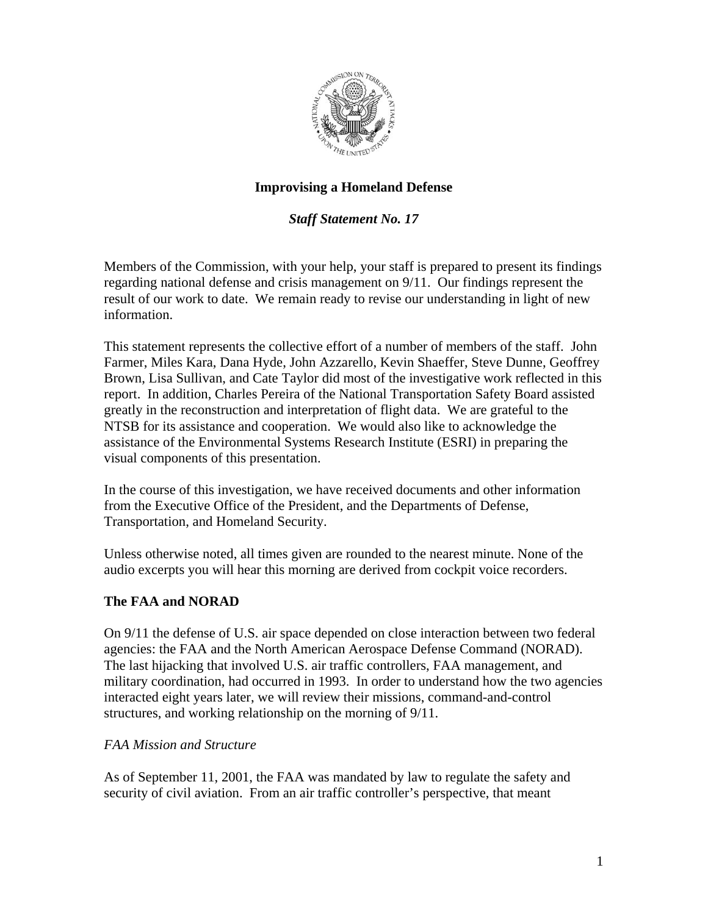

# **Improvising a Homeland Defense**

# *Staff Statement No. 17*

Members of the Commission, with your help, your staff is prepared to present its findings regarding national defense and crisis management on 9/11. Our findings represent the result of our work to date. We remain ready to revise our understanding in light of new information.

This statement represents the collective effort of a number of members of the staff. John Farmer, Miles Kara, Dana Hyde, John Azzarello, Kevin Shaeffer, Steve Dunne, Geoffrey Brown, Lisa Sullivan, and Cate Taylor did most of the investigative work reflected in this report. In addition, Charles Pereira of the National Transportation Safety Board assisted greatly in the reconstruction and interpretation of flight data. We are grateful to the NTSB for its assistance and cooperation. We would also like to acknowledge the assistance of the Environmental Systems Research Institute (ESRI) in preparing the visual components of this presentation.

In the course of this investigation, we have received documents and other information from the Executive Office of the President, and the Departments of Defense, Transportation, and Homeland Security.

Unless otherwise noted, all times given are rounded to the nearest minute. None of the audio excerpts you will hear this morning are derived from cockpit voice recorders.

### **The FAA and NORAD**

On 9/11 the defense of U.S. air space depended on close interaction between two federal agencies: the FAA and the North American Aerospace Defense Command (NORAD). The last hijacking that involved U.S. air traffic controllers, FAA management, and military coordination, had occurred in 1993. In order to understand how the two agencies interacted eight years later, we will review their missions, command-and-control structures, and working relationship on the morning of 9/11.

### *FAA Mission and Structure*

As of September 11, 2001, the FAA was mandated by law to regulate the safety and security of civil aviation. From an air traffic controller's perspective, that meant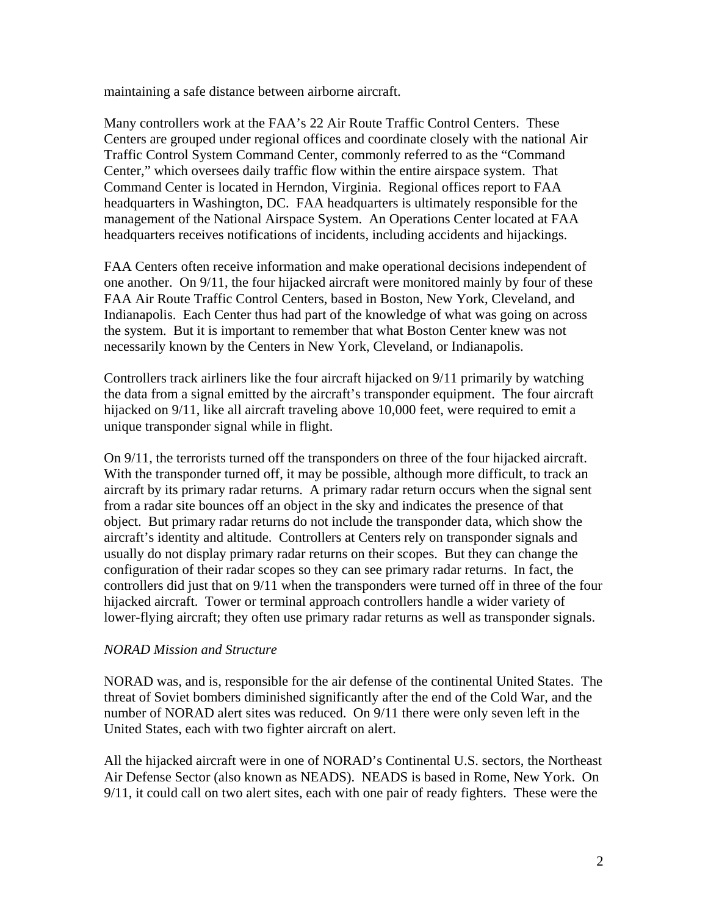maintaining a safe distance between airborne aircraft.

Many controllers work at the FAA's 22 Air Route Traffic Control Centers. These Centers are grouped under regional offices and coordinate closely with the national Air Traffic Control System Command Center, commonly referred to as the "Command Center," which oversees daily traffic flow within the entire airspace system. That Command Center is located in Herndon, Virginia. Regional offices report to FAA headquarters in Washington, DC. FAA headquarters is ultimately responsible for the management of the National Airspace System. An Operations Center located at FAA headquarters receives notifications of incidents, including accidents and hijackings.

FAA Centers often receive information and make operational decisions independent of one another. On 9/11, the four hijacked aircraft were monitored mainly by four of these FAA Air Route Traffic Control Centers, based in Boston, New York, Cleveland, and Indianapolis. Each Center thus had part of the knowledge of what was going on across the system. But it is important to remember that what Boston Center knew was not necessarily known by the Centers in New York, Cleveland, or Indianapolis.

Controllers track airliners like the four aircraft hijacked on 9/11 primarily by watching the data from a signal emitted by the aircraft's transponder equipment. The four aircraft hijacked on 9/11, like all aircraft traveling above 10,000 feet, were required to emit a unique transponder signal while in flight.

On 9/11, the terrorists turned off the transponders on three of the four hijacked aircraft. With the transponder turned off, it may be possible, although more difficult, to track an aircraft by its primary radar returns. A primary radar return occurs when the signal sent from a radar site bounces off an object in the sky and indicates the presence of that object. But primary radar returns do not include the transponder data, which show the aircraft's identity and altitude. Controllers at Centers rely on transponder signals and usually do not display primary radar returns on their scopes. But they can change the configuration of their radar scopes so they can see primary radar returns. In fact, the controllers did just that on 9/11 when the transponders were turned off in three of the four hijacked aircraft. Tower or terminal approach controllers handle a wider variety of lower-flying aircraft; they often use primary radar returns as well as transponder signals.

### *NORAD Mission and Structure*

NORAD was, and is, responsible for the air defense of the continental United States. The threat of Soviet bombers diminished significantly after the end of the Cold War, and the number of NORAD alert sites was reduced. On 9/11 there were only seven left in the United States, each with two fighter aircraft on alert.

All the hijacked aircraft were in one of NORAD's Continental U.S. sectors, the Northeast Air Defense Sector (also known as NEADS). NEADS is based in Rome, New York. On 9/11, it could call on two alert sites, each with one pair of ready fighters. These were the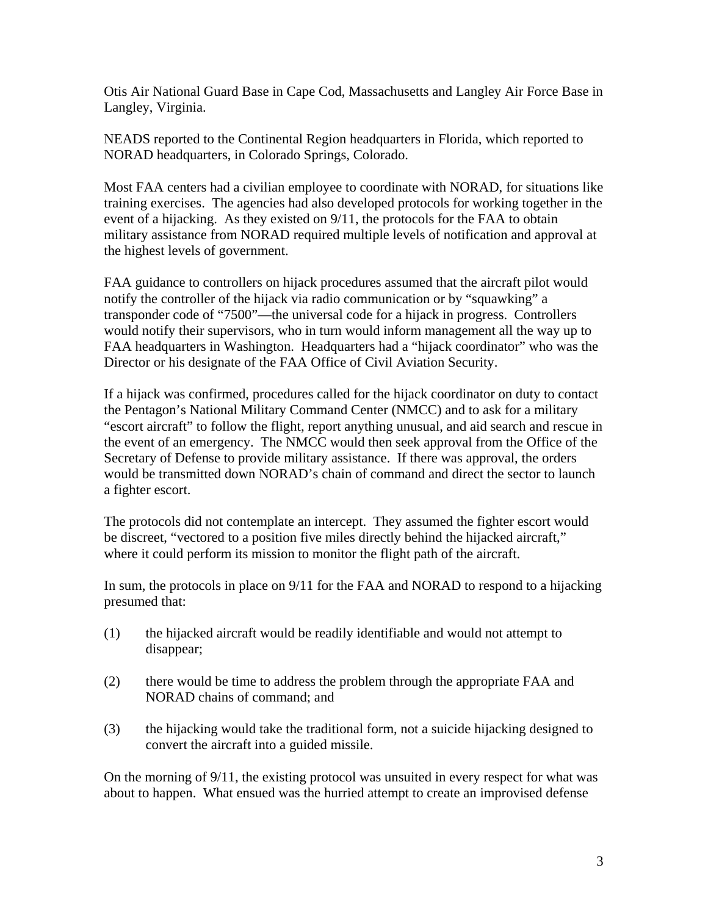Otis Air National Guard Base in Cape Cod, Massachusetts and Langley Air Force Base in Langley, Virginia.

NEADS reported to the Continental Region headquarters in Florida, which reported to NORAD headquarters, in Colorado Springs, Colorado.

Most FAA centers had a civilian employee to coordinate with NORAD, for situations like training exercises. The agencies had also developed protocols for working together in the event of a hijacking. As they existed on 9/11, the protocols for the FAA to obtain military assistance from NORAD required multiple levels of notification and approval at the highest levels of government.

FAA guidance to controllers on hijack procedures assumed that the aircraft pilot would notify the controller of the hijack via radio communication or by "squawking" a transponder code of "7500"—the universal code for a hijack in progress. Controllers would notify their supervisors, who in turn would inform management all the way up to FAA headquarters in Washington. Headquarters had a "hijack coordinator" who was the Director or his designate of the FAA Office of Civil Aviation Security.

If a hijack was confirmed, procedures called for the hijack coordinator on duty to contact the Pentagon's National Military Command Center (NMCC) and to ask for a military "escort aircraft" to follow the flight, report anything unusual, and aid search and rescue in the event of an emergency. The NMCC would then seek approval from the Office of the Secretary of Defense to provide military assistance. If there was approval, the orders would be transmitted down NORAD's chain of command and direct the sector to launch a fighter escort.

The protocols did not contemplate an intercept. They assumed the fighter escort would be discreet, "vectored to a position five miles directly behind the hijacked aircraft," where it could perform its mission to monitor the flight path of the aircraft.

In sum, the protocols in place on 9/11 for the FAA and NORAD to respond to a hijacking presumed that:

- (1) the hijacked aircraft would be readily identifiable and would not attempt to disappear;
- (2) there would be time to address the problem through the appropriate FAA and NORAD chains of command; and
- (3) the hijacking would take the traditional form, not a suicide hijacking designed to convert the aircraft into a guided missile.

On the morning of 9/11, the existing protocol was unsuited in every respect for what was about to happen. What ensued was the hurried attempt to create an improvised defense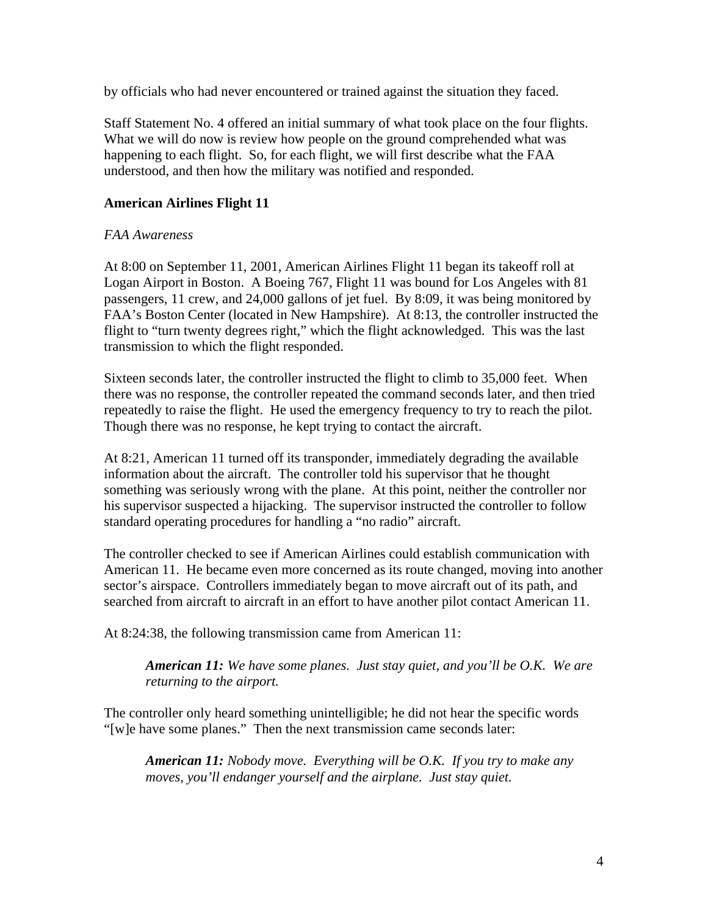by officials who had never encountered or trained against the situation they faced.

Staff Statement No. 4 offered an initial summary of what took place on the four flights. What we will do now is review how people on the ground comprehended what was happening to each flight. So, for each flight, we will first describe what the FAA understood, and then how the military was notified and responded.

## **American Airlines Flight 11**

### *FAA Awareness*

At 8:00 on September 11, 2001, American Airlines Flight 11 began its takeoff roll at Logan Airport in Boston. A Boeing 767, Flight 11 was bound for Los Angeles with 81 passengers, 11 crew, and 24,000 gallons of jet fuel. By 8:09, it was being monitored by FAA's Boston Center (located in New Hampshire). At 8:13, the controller instructed the flight to "turn twenty degrees right," which the flight acknowledged. This was the last transmission to which the flight responded.

Sixteen seconds later, the controller instructed the flight to climb to 35,000 feet. When there was no response, the controller repeated the command seconds later, and then tried repeatedly to raise the flight. He used the emergency frequency to try to reach the pilot. Though there was no response, he kept trying to contact the aircraft.

At 8:21, American 11 turned off its transponder, immediately degrading the available information about the aircraft. The controller told his supervisor that he thought something was seriously wrong with the plane. At this point, neither the controller nor his supervisor suspected a hijacking. The supervisor instructed the controller to follow standard operating procedures for handling a "no radio" aircraft.

The controller checked to see if American Airlines could establish communication with American 11. He became even more concerned as its route changed, moving into another sector's airspace. Controllers immediately began to move aircraft out of its path, and searched from aircraft to aircraft in an effort to have another pilot contact American 11.

At 8:24:38, the following transmission came from American 11:

*American 11: We have some planes. Just stay quiet, and you'll be O.K. We are returning to the airport.*

The controller only heard something unintelligible; he did not hear the specific words "[w]e have some planes." Then the next transmission came seconds later:

*American 11: Nobody move. Everything will be O.K. If you try to make any moves, you'll endanger yourself and the airplane. Just stay quiet.*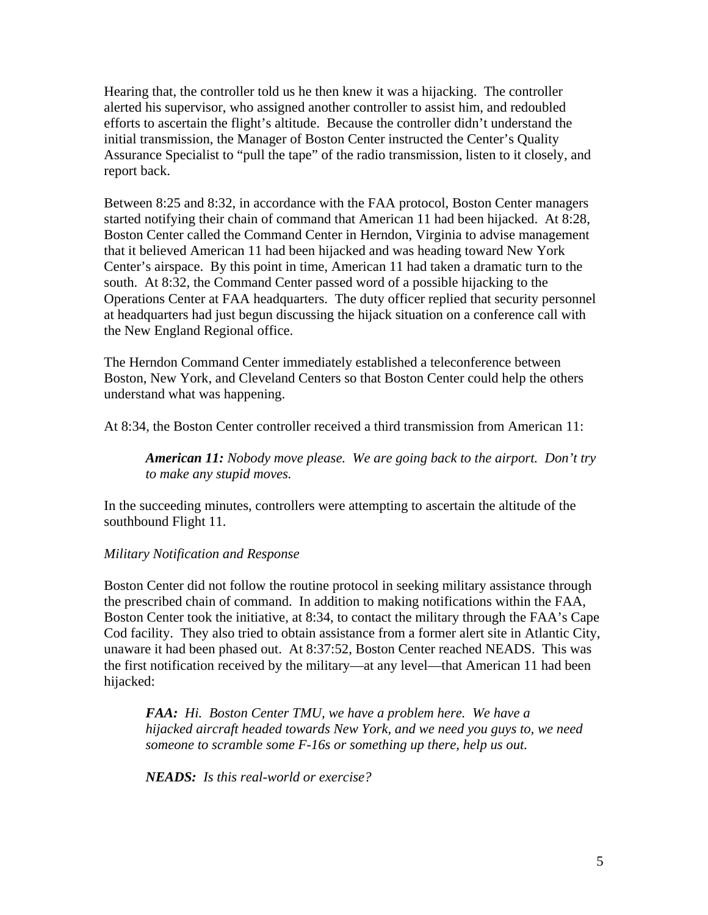Hearing that, the controller told us he then knew it was a hijacking. The controller alerted his supervisor, who assigned another controller to assist him, and redoubled efforts to ascertain the flight's altitude. Because the controller didn't understand the initial transmission, the Manager of Boston Center instructed the Center's Quality Assurance Specialist to "pull the tape" of the radio transmission, listen to it closely, and report back.

Between 8:25 and 8:32, in accordance with the FAA protocol, Boston Center managers started notifying their chain of command that American 11 had been hijacked. At 8:28, Boston Center called the Command Center in Herndon, Virginia to advise management that it believed American 11 had been hijacked and was heading toward New York Center's airspace. By this point in time, American 11 had taken a dramatic turn to the south. At 8:32, the Command Center passed word of a possible hijacking to the Operations Center at FAA headquarters. The duty officer replied that security personnel at headquarters had just begun discussing the hijack situation on a conference call with the New England Regional office.

The Herndon Command Center immediately established a teleconference between Boston, New York, and Cleveland Centers so that Boston Center could help the others understand what was happening.

At 8:34, the Boston Center controller received a third transmission from American 11:

*American 11: Nobody move please. We are going back to the airport. Don't try to make any stupid moves.* 

In the succeeding minutes, controllers were attempting to ascertain the altitude of the southbound Flight 11.

### *Military Notification and Response*

Boston Center did not follow the routine protocol in seeking military assistance through the prescribed chain of command. In addition to making notifications within the FAA, Boston Center took the initiative, at 8:34, to contact the military through the FAA's Cape Cod facility. They also tried to obtain assistance from a former alert site in Atlantic City, unaware it had been phased out. At 8:37:52, Boston Center reached NEADS. This was the first notification received by the military—at any level—that American 11 had been hijacked:

*FAA: Hi. Boston Center TMU, we have a problem here. We have a hijacked aircraft headed towards New York, and we need you guys to, we need someone to scramble some F-16s or something up there, help us out.* 

*NEADS: Is this real-world or exercise?*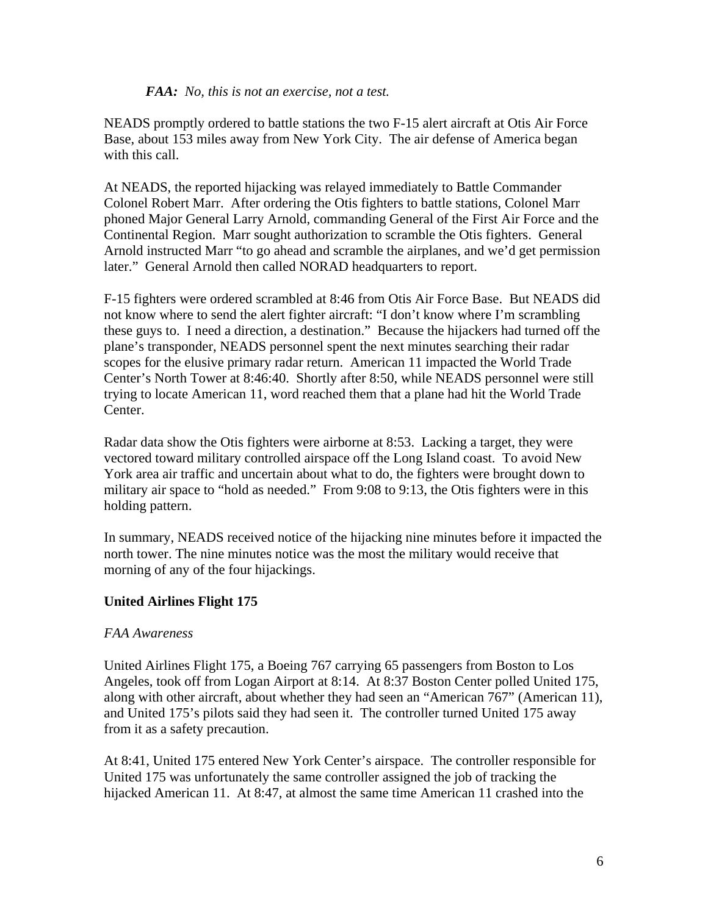### *FAA: No, this is not an exercise, not a test.*

NEADS promptly ordered to battle stations the two F-15 alert aircraft at Otis Air Force Base, about 153 miles away from New York City. The air defense of America began with this call.

At NEADS, the reported hijacking was relayed immediately to Battle Commander Colonel Robert Marr. After ordering the Otis fighters to battle stations, Colonel Marr phoned Major General Larry Arnold, commanding General of the First Air Force and the Continental Region. Marr sought authorization to scramble the Otis fighters. General Arnold instructed Marr "to go ahead and scramble the airplanes, and we'd get permission later." General Arnold then called NORAD headquarters to report.

F-15 fighters were ordered scrambled at 8:46 from Otis Air Force Base. But NEADS did not know where to send the alert fighter aircraft: "I don't know where I'm scrambling these guys to. I need a direction, a destination." Because the hijackers had turned off the plane's transponder, NEADS personnel spent the next minutes searching their radar scopes for the elusive primary radar return. American 11 impacted the World Trade Center's North Tower at 8:46:40. Shortly after 8:50, while NEADS personnel were still trying to locate American 11, word reached them that a plane had hit the World Trade Center.

Radar data show the Otis fighters were airborne at 8:53. Lacking a target, they were vectored toward military controlled airspace off the Long Island coast. To avoid New York area air traffic and uncertain about what to do, the fighters were brought down to military air space to "hold as needed." From 9:08 to 9:13, the Otis fighters were in this holding pattern.

In summary, NEADS received notice of the hijacking nine minutes before it impacted the north tower. The nine minutes notice was the most the military would receive that morning of any of the four hijackings.

## **United Airlines Flight 175**

## *FAA Awareness*

United Airlines Flight 175, a Boeing 767 carrying 65 passengers from Boston to Los Angeles, took off from Logan Airport at 8:14. At 8:37 Boston Center polled United 175, along with other aircraft, about whether they had seen an "American 767" (American 11), and United 175's pilots said they had seen it. The controller turned United 175 away from it as a safety precaution.

At 8:41, United 175 entered New York Center's airspace. The controller responsible for United 175 was unfortunately the same controller assigned the job of tracking the hijacked American 11. At 8:47, at almost the same time American 11 crashed into the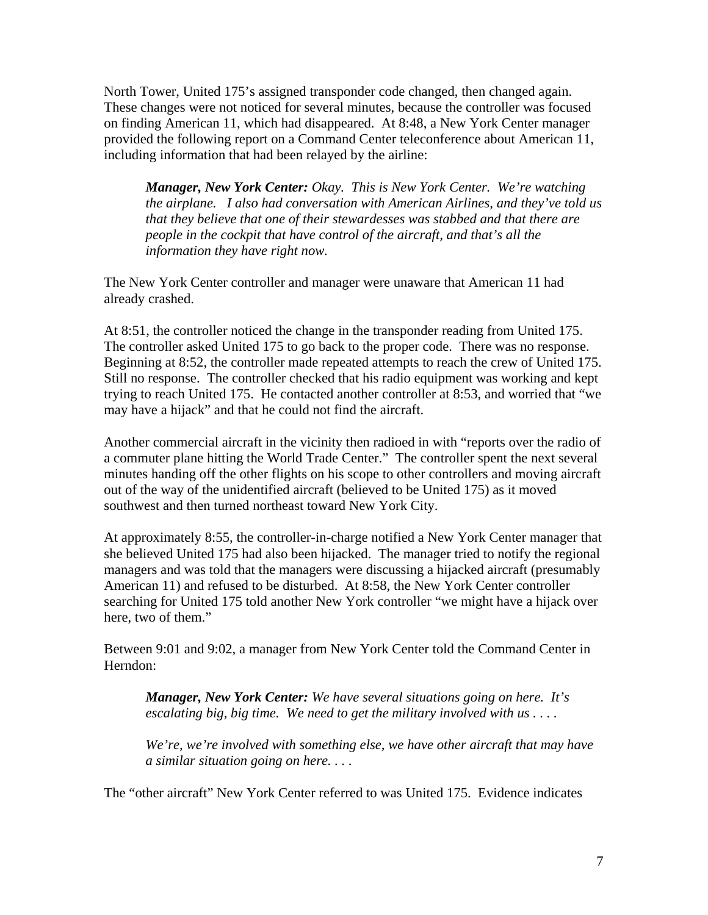North Tower, United 175's assigned transponder code changed, then changed again. These changes were not noticed for several minutes, because the controller was focused on finding American 11, which had disappeared. At 8:48, a New York Center manager provided the following report on a Command Center teleconference about American 11, including information that had been relayed by the airline:

*Manager, New York Center: Okay. This is New York Center. We're watching the airplane. I also had conversation with American Airlines, and they've told us that they believe that one of their stewardesses was stabbed and that there are people in the cockpit that have control of the aircraft, and that's all the information they have right now.* 

The New York Center controller and manager were unaware that American 11 had already crashed.

At 8:51, the controller noticed the change in the transponder reading from United 175. The controller asked United 175 to go back to the proper code. There was no response. Beginning at 8:52, the controller made repeated attempts to reach the crew of United 175. Still no response. The controller checked that his radio equipment was working and kept trying to reach United 175. He contacted another controller at 8:53, and worried that "we may have a hijack" and that he could not find the aircraft.

Another commercial aircraft in the vicinity then radioed in with "reports over the radio of a commuter plane hitting the World Trade Center." The controller spent the next several minutes handing off the other flights on his scope to other controllers and moving aircraft out of the way of the unidentified aircraft (believed to be United 175) as it moved southwest and then turned northeast toward New York City.

At approximately 8:55, the controller-in-charge notified a New York Center manager that she believed United 175 had also been hijacked. The manager tried to notify the regional managers and was told that the managers were discussing a hijacked aircraft (presumably American 11) and refused to be disturbed. At 8:58, the New York Center controller searching for United 175 told another New York controller "we might have a hijack over here, two of them."

Between 9:01 and 9:02, a manager from New York Center told the Command Center in Herndon:

*Manager, New York Center: We have several situations going on here. It's escalating big, big time. We need to get the military involved with us . . . .* 

*We're, we're involved with something else, we have other aircraft that may have a similar situation going on here. . . .* 

The "other aircraft" New York Center referred to was United 175. Evidence indicates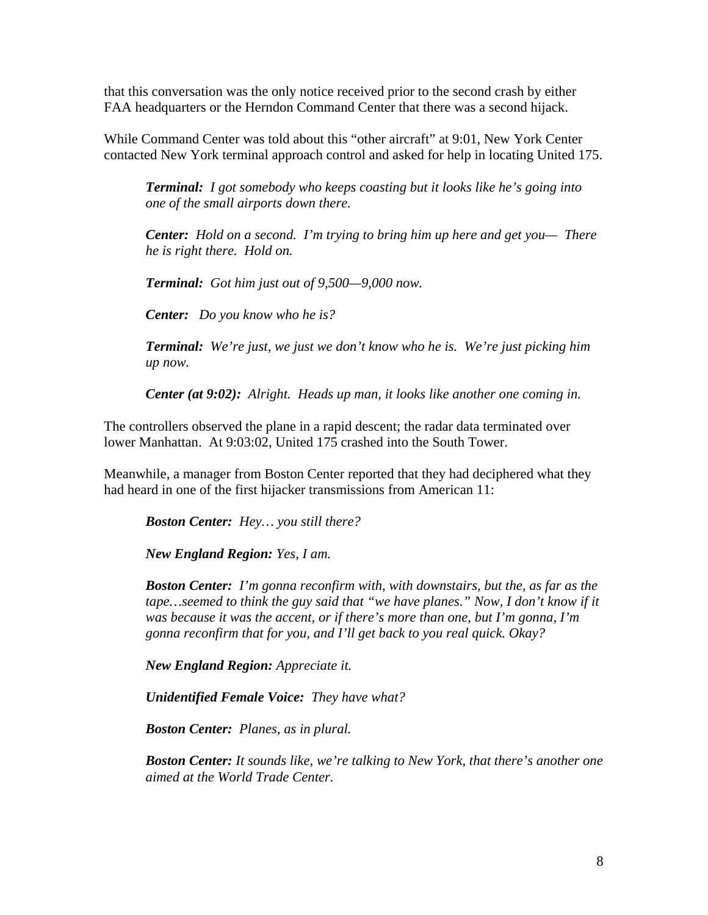that this conversation was the only notice received prior to the second crash by either FAA headquarters or the Herndon Command Center that there was a second hijack.

While Command Center was told about this "other aircraft" at 9:01, New York Center contacted New York terminal approach control and asked for help in locating United 175.

*Terminal: I got somebody who keeps coasting but it looks like he's going into one of the small airports down there.* 

*Center: Hold on a second. I'm trying to bring him up here and get you— There he is right there. Hold on.* 

*Terminal: Got him just out of 9,500—9,000 now.* 

*Center: Do you know who he is?* 

*Terminal: We're just, we just we don't know who he is. We're just picking him up now.* 

*Center (at 9:02): Alright. Heads up man, it looks like another one coming in.* 

The controllers observed the plane in a rapid descent; the radar data terminated over lower Manhattan. At 9:03:02, United 175 crashed into the South Tower.

Meanwhile, a manager from Boston Center reported that they had deciphered what they had heard in one of the first hijacker transmissions from American 11:

*Boston Center: Hey… you still there?*

*New England Region: Yes, I am.* 

*Boston Center: I'm gonna reconfirm with, with downstairs, but the, as far as the tape…seemed to think the guy said that "we have planes." Now, I don't know if it was because it was the accent, or if there's more than one, but I'm gonna, I'm gonna reconfirm that for you, and I'll get back to you real quick. Okay?* 

*New England Region: Appreciate it.* 

*Unidentified Female Voice: They have what?* 

*Boston Center: Planes, as in plural.* 

*Boston Center: It sounds like, we're talking to New York, that there's another one aimed at the World Trade Center.*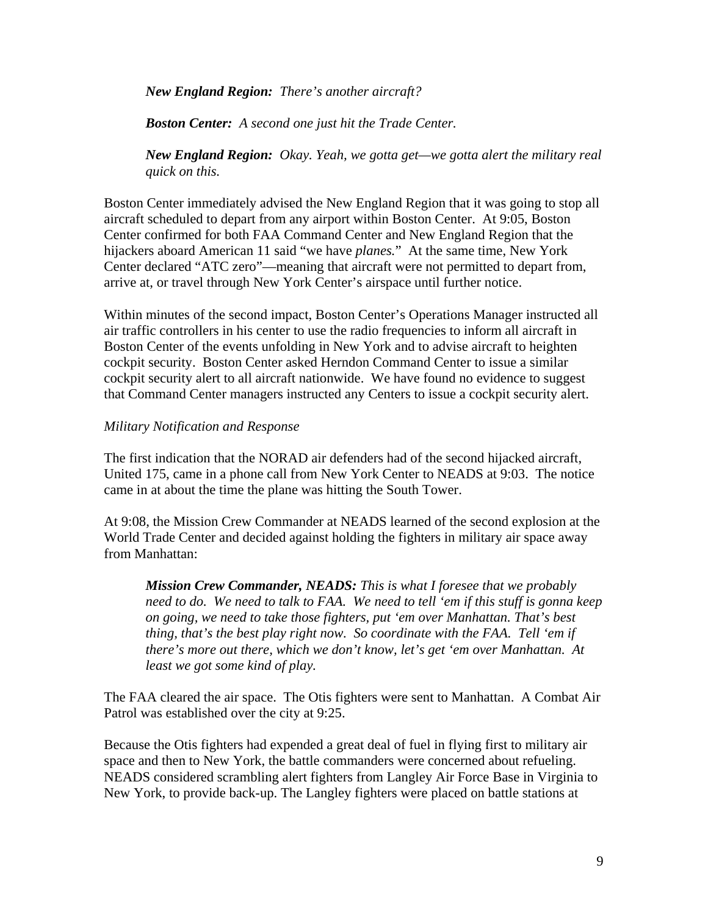*New England Region: There's another aircraft?* 

*Boston Center: A second one just hit the Trade Center.* 

*New England Region: Okay. Yeah, we gotta get—we gotta alert the military real quick on this.* 

Boston Center immediately advised the New England Region that it was going to stop all aircraft scheduled to depart from any airport within Boston Center. At 9:05, Boston Center confirmed for both FAA Command Center and New England Region that the hijackers aboard American 11 said "we have *planes.*" At the same time, New York Center declared "ATC zero"—meaning that aircraft were not permitted to depart from, arrive at, or travel through New York Center's airspace until further notice.

Within minutes of the second impact, Boston Center's Operations Manager instructed all air traffic controllers in his center to use the radio frequencies to inform all aircraft in Boston Center of the events unfolding in New York and to advise aircraft to heighten cockpit security. Boston Center asked Herndon Command Center to issue a similar cockpit security alert to all aircraft nationwide. We have found no evidence to suggest that Command Center managers instructed any Centers to issue a cockpit security alert.

## *Military Notification and Response*

The first indication that the NORAD air defenders had of the second hijacked aircraft, United 175, came in a phone call from New York Center to NEADS at 9:03. The notice came in at about the time the plane was hitting the South Tower.

At 9:08, the Mission Crew Commander at NEADS learned of the second explosion at the World Trade Center and decided against holding the fighters in military air space away from Manhattan:

*Mission Crew Commander, NEADS: This is what I foresee that we probably need to do. We need to talk to FAA. We need to tell 'em if this stuff is gonna keep on going, we need to take those fighters, put 'em over Manhattan. That's best thing, that's the best play right now. So coordinate with the FAA. Tell 'em if there's more out there, which we don't know, let's get 'em over Manhattan. At least we got some kind of play.*

The FAA cleared the air space. The Otis fighters were sent to Manhattan. A Combat Air Patrol was established over the city at 9:25.

Because the Otis fighters had expended a great deal of fuel in flying first to military air space and then to New York, the battle commanders were concerned about refueling. NEADS considered scrambling alert fighters from Langley Air Force Base in Virginia to New York, to provide back-up. The Langley fighters were placed on battle stations at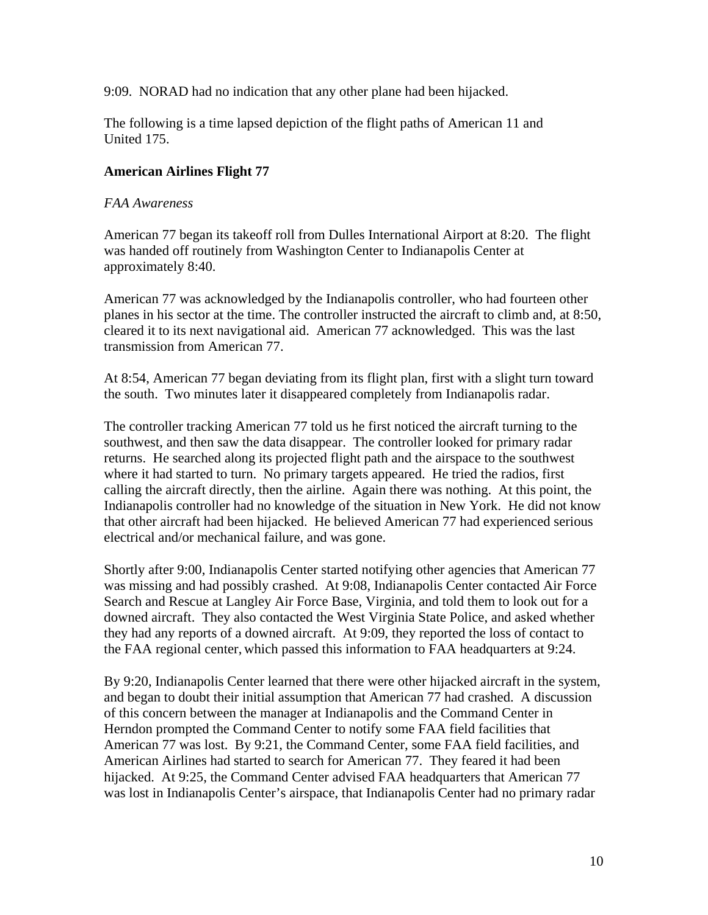9:09. NORAD had no indication that any other plane had been hijacked.

The following is a time lapsed depiction of the flight paths of American 11 and United 175.

# **American Airlines Flight 77**

## *FAA Awareness*

American 77 began its takeoff roll from Dulles International Airport at 8:20. The flight was handed off routinely from Washington Center to Indianapolis Center at approximately 8:40.

American 77 was acknowledged by the Indianapolis controller, who had fourteen other planes in his sector at the time. The controller instructed the aircraft to climb and, at 8:50, cleared it to its next navigational aid. American 77 acknowledged. This was the last transmission from American 77.

At 8:54, American 77 began deviating from its flight plan, first with a slight turn toward the south. Two minutes later it disappeared completely from Indianapolis radar.

The controller tracking American 77 told us he first noticed the aircraft turning to the southwest, and then saw the data disappear. The controller looked for primary radar returns. He searched along its projected flight path and the airspace to the southwest where it had started to turn. No primary targets appeared. He tried the radios, first calling the aircraft directly, then the airline. Again there was nothing. At this point, the Indianapolis controller had no knowledge of the situation in New York. He did not know that other aircraft had been hijacked. He believed American 77 had experienced serious electrical and/or mechanical failure, and was gone.

Shortly after 9:00, Indianapolis Center started notifying other agencies that American 77 was missing and had possibly crashed. At 9:08, Indianapolis Center contacted Air Force Search and Rescue at Langley Air Force Base, Virginia, and told them to look out for a downed aircraft. They also contacted the West Virginia State Police, and asked whether they had any reports of a downed aircraft. At 9:09, they reported the loss of contact to the FAA regional center, which passed this information to FAA headquarters at 9:24.

By 9:20, Indianapolis Center learned that there were other hijacked aircraft in the system, and began to doubt their initial assumption that American 77 had crashed. A discussion of this concern between the manager at Indianapolis and the Command Center in Herndon prompted the Command Center to notify some FAA field facilities that American 77 was lost. By 9:21, the Command Center, some FAA field facilities, and American Airlines had started to search for American 77. They feared it had been hijacked. At 9:25, the Command Center advised FAA headquarters that American 77 was lost in Indianapolis Center's airspace, that Indianapolis Center had no primary radar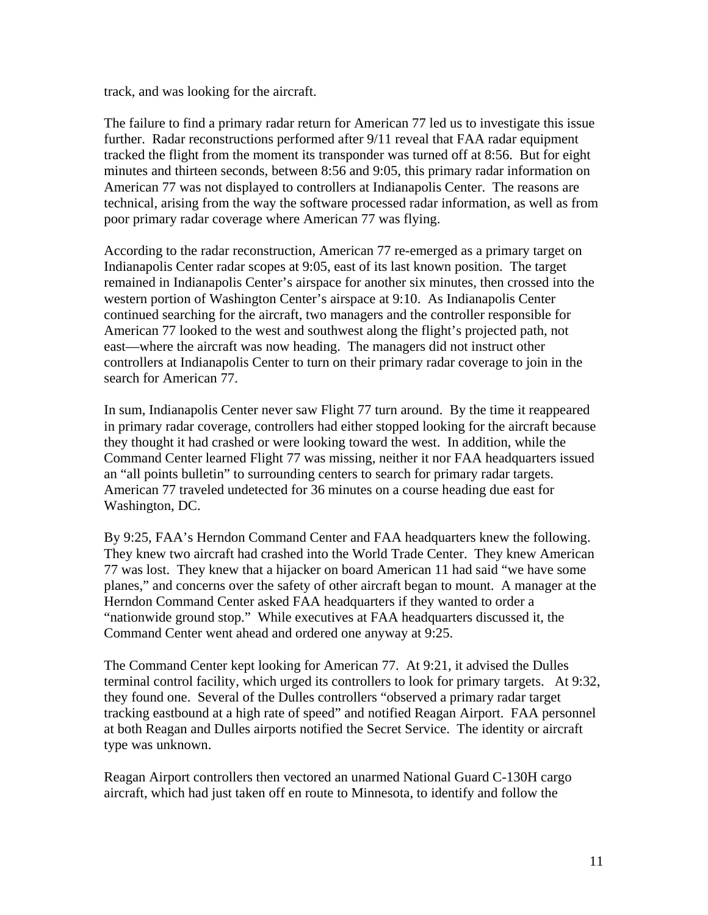track, and was looking for the aircraft.

The failure to find a primary radar return for American 77 led us to investigate this issue further. Radar reconstructions performed after 9/11 reveal that FAA radar equipment tracked the flight from the moment its transponder was turned off at 8:56. But for eight minutes and thirteen seconds, between 8:56 and 9:05, this primary radar information on American 77 was not displayed to controllers at Indianapolis Center. The reasons are technical, arising from the way the software processed radar information, as well as from poor primary radar coverage where American 77 was flying.

According to the radar reconstruction, American 77 re-emerged as a primary target on Indianapolis Center radar scopes at 9:05, east of its last known position. The target remained in Indianapolis Center's airspace for another six minutes, then crossed into the western portion of Washington Center's airspace at 9:10. As Indianapolis Center continued searching for the aircraft, two managers and the controller responsible for American 77 looked to the west and southwest along the flight's projected path, not east—where the aircraft was now heading. The managers did not instruct other controllers at Indianapolis Center to turn on their primary radar coverage to join in the search for American 77.

In sum, Indianapolis Center never saw Flight 77 turn around. By the time it reappeared in primary radar coverage, controllers had either stopped looking for the aircraft because they thought it had crashed or were looking toward the west. In addition, while the Command Center learned Flight 77 was missing, neither it nor FAA headquarters issued an "all points bulletin" to surrounding centers to search for primary radar targets. American 77 traveled undetected for 36 minutes on a course heading due east for Washington, DC.

By 9:25, FAA's Herndon Command Center and FAA headquarters knew the following. They knew two aircraft had crashed into the World Trade Center. They knew American 77 was lost. They knew that a hijacker on board American 11 had said "we have some planes," and concerns over the safety of other aircraft began to mount. A manager at the Herndon Command Center asked FAA headquarters if they wanted to order a "nationwide ground stop." While executives at FAA headquarters discussed it, the Command Center went ahead and ordered one anyway at 9:25.

The Command Center kept looking for American 77. At 9:21, it advised the Dulles terminal control facility, which urged its controllers to look for primary targets. At 9:32, they found one. Several of the Dulles controllers "observed a primary radar target tracking eastbound at a high rate of speed" and notified Reagan Airport. FAA personnel at both Reagan and Dulles airports notified the Secret Service. The identity or aircraft type was unknown.

Reagan Airport controllers then vectored an unarmed National Guard C-130H cargo aircraft, which had just taken off en route to Minnesota, to identify and follow the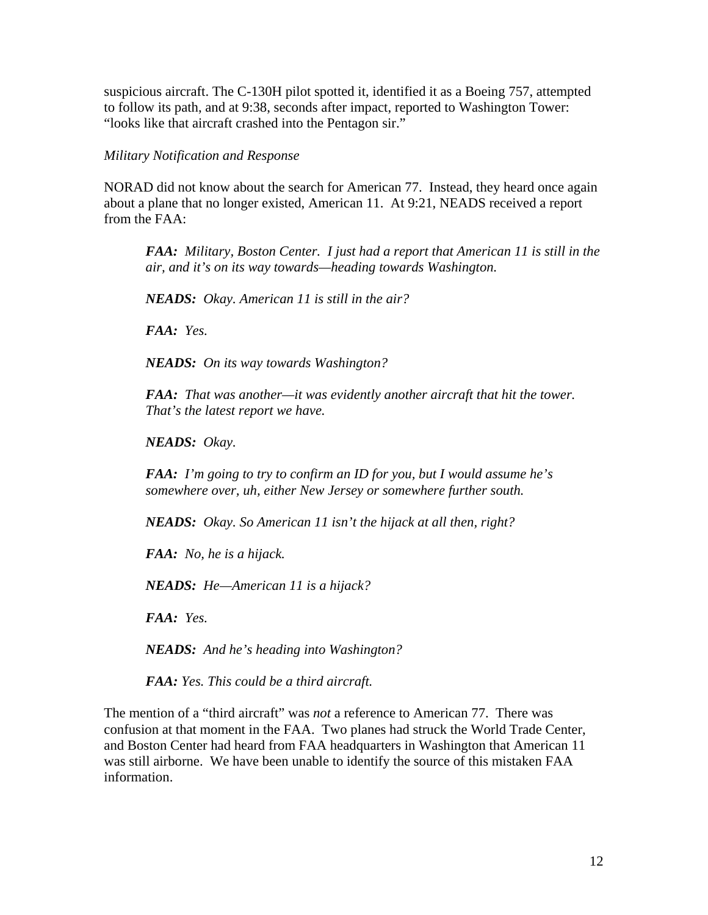suspicious aircraft. The C-130H pilot spotted it, identified it as a Boeing 757, attempted to follow its path, and at 9:38, seconds after impact, reported to Washington Tower: "looks like that aircraft crashed into the Pentagon sir."

*Military Notification and Response*

NORAD did not know about the search for American 77. Instead, they heard once again about a plane that no longer existed, American 11. At 9:21, NEADS received a report from the FAA:

*FAA: Military, Boston Center. I just had a report that American 11 is still in the air, and it's on its way towards—heading towards Washington.* 

*NEADS: Okay. American 11 is still in the air?* 

*FAA: Yes.* 

*NEADS: On its way towards Washington?* 

*FAA: That was another—it was evidently another aircraft that hit the tower. That's the latest report we have.* 

*NEADS: Okay.* 

*FAA: I'm going to try to confirm an ID for you, but I would assume he's somewhere over, uh, either New Jersey or somewhere further south.* 

*NEADS: Okay. So American 11 isn't the hijack at all then, right?* 

*FAA: No, he is a hijack.* 

*NEADS: He—American 11 is a hijack?* 

*FAA: Yes.* 

*NEADS: And he's heading into Washington?* 

*FAA: Yes. This could be a third aircraft.*

The mention of a "third aircraft" was *not* a reference to American 77. There was confusion at that moment in the FAA. Two planes had struck the World Trade Center, and Boston Center had heard from FAA headquarters in Washington that American 11 was still airborne. We have been unable to identify the source of this mistaken FAA information.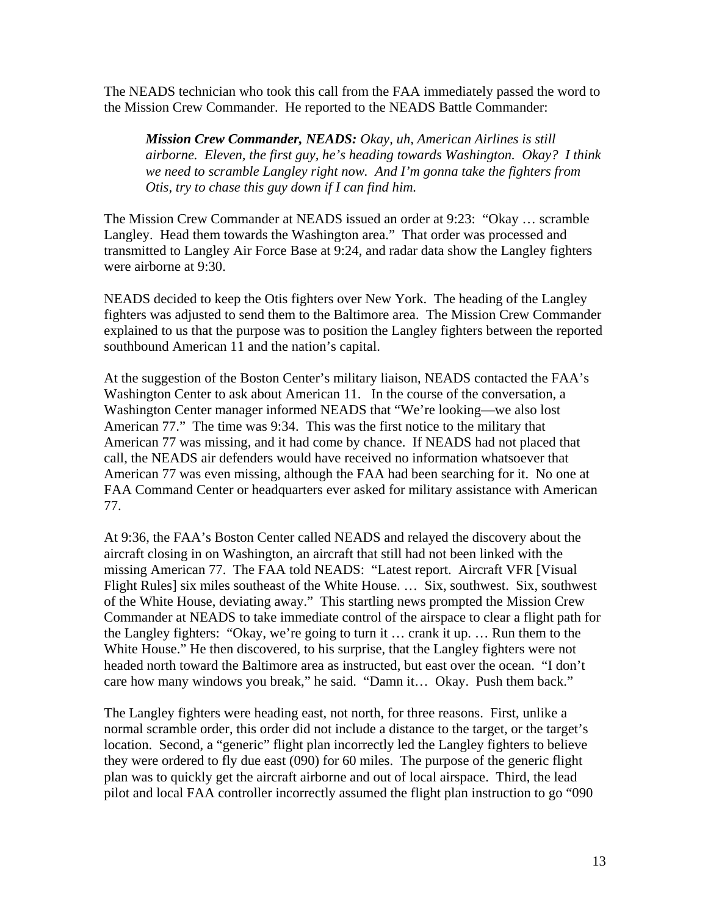The NEADS technician who took this call from the FAA immediately passed the word to the Mission Crew Commander. He reported to the NEADS Battle Commander:

*Mission Crew Commander, NEADS: Okay, uh, American Airlines is still airborne. Eleven, the first guy, he's heading towards Washington. Okay? I think we need to scramble Langley right now. And I'm gonna take the fighters from Otis, try to chase this guy down if I can find him.* 

The Mission Crew Commander at NEADS issued an order at 9:23: "Okay … scramble Langley. Head them towards the Washington area." That order was processed and transmitted to Langley Air Force Base at 9:24, and radar data show the Langley fighters were airborne at 9:30.

NEADS decided to keep the Otis fighters over New York. The heading of the Langley fighters was adjusted to send them to the Baltimore area. The Mission Crew Commander explained to us that the purpose was to position the Langley fighters between the reported southbound American 11 and the nation's capital.

At the suggestion of the Boston Center's military liaison, NEADS contacted the FAA's Washington Center to ask about American 11. In the course of the conversation, a Washington Center manager informed NEADS that "We're looking—we also lost American 77." The time was 9:34. This was the first notice to the military that American 77 was missing, and it had come by chance. If NEADS had not placed that call, the NEADS air defenders would have received no information whatsoever that American 77 was even missing, although the FAA had been searching for it. No one at FAA Command Center or headquarters ever asked for military assistance with American 77.

At 9:36, the FAA's Boston Center called NEADS and relayed the discovery about the aircraft closing in on Washington, an aircraft that still had not been linked with the missing American 77. The FAA told NEADS: "Latest report. Aircraft VFR [Visual Flight Rules] six miles southeast of the White House. … Six, southwest. Six, southwest of the White House, deviating away." This startling news prompted the Mission Crew Commander at NEADS to take immediate control of the airspace to clear a flight path for the Langley fighters: "Okay, we're going to turn it … crank it up. … Run them to the White House." He then discovered, to his surprise, that the Langley fighters were not headed north toward the Baltimore area as instructed, but east over the ocean. "I don't care how many windows you break," he said. "Damn it… Okay. Push them back."

The Langley fighters were heading east, not north, for three reasons. First, unlike a normal scramble order, this order did not include a distance to the target, or the target's location. Second, a "generic" flight plan incorrectly led the Langley fighters to believe they were ordered to fly due east (090) for 60 miles. The purpose of the generic flight plan was to quickly get the aircraft airborne and out of local airspace. Third, the lead pilot and local FAA controller incorrectly assumed the flight plan instruction to go "090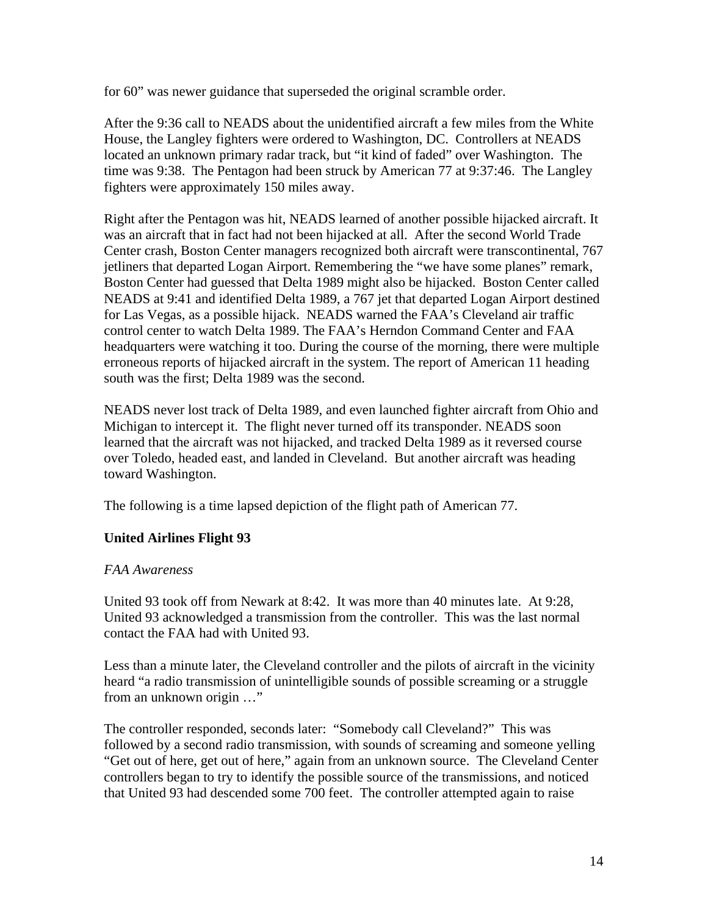for 60" was newer guidance that superseded the original scramble order.

After the 9:36 call to NEADS about the unidentified aircraft a few miles from the White House, the Langley fighters were ordered to Washington, DC. Controllers at NEADS located an unknown primary radar track, but "it kind of faded" over Washington. The time was 9:38. The Pentagon had been struck by American 77 at 9:37:46. The Langley fighters were approximately 150 miles away.

Right after the Pentagon was hit, NEADS learned of another possible hijacked aircraft. It was an aircraft that in fact had not been hijacked at all. After the second World Trade Center crash, Boston Center managers recognized both aircraft were transcontinental, 767 jetliners that departed Logan Airport. Remembering the "we have some planes" remark, Boston Center had guessed that Delta 1989 might also be hijacked. Boston Center called NEADS at 9:41 and identified Delta 1989, a 767 jet that departed Logan Airport destined for Las Vegas, as a possible hijack. NEADS warned the FAA's Cleveland air traffic control center to watch Delta 1989. The FAA's Herndon Command Center and FAA headquarters were watching it too. During the course of the morning, there were multiple erroneous reports of hijacked aircraft in the system. The report of American 11 heading south was the first; Delta 1989 was the second.

NEADS never lost track of Delta 1989, and even launched fighter aircraft from Ohio and Michigan to intercept it. The flight never turned off its transponder. NEADS soon learned that the aircraft was not hijacked, and tracked Delta 1989 as it reversed course over Toledo, headed east, and landed in Cleveland. But another aircraft was heading toward Washington.

The following is a time lapsed depiction of the flight path of American 77.

## **United Airlines Flight 93**

## *FAA Awareness*

United 93 took off from Newark at 8:42. It was more than 40 minutes late. At 9:28, United 93 acknowledged a transmission from the controller. This was the last normal contact the FAA had with United 93.

Less than a minute later, the Cleveland controller and the pilots of aircraft in the vicinity heard "a radio transmission of unintelligible sounds of possible screaming or a struggle from an unknown origin …"

The controller responded, seconds later: "Somebody call Cleveland?" This was followed by a second radio transmission, with sounds of screaming and someone yelling "Get out of here, get out of here," again from an unknown source. The Cleveland Center controllers began to try to identify the possible source of the transmissions, and noticed that United 93 had descended some 700 feet. The controller attempted again to raise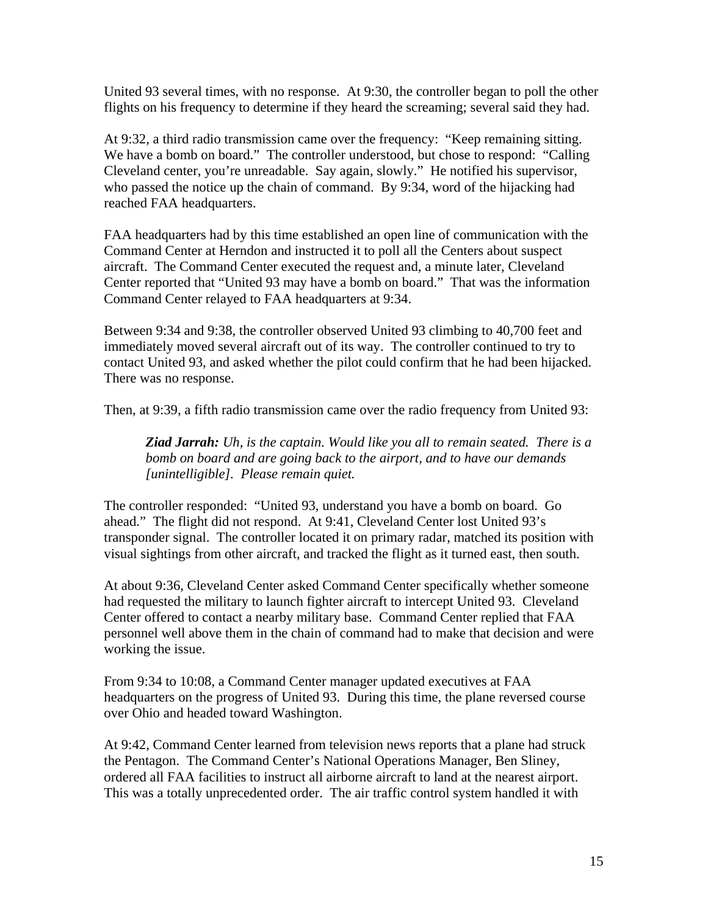United 93 several times, with no response. At 9:30, the controller began to poll the other flights on his frequency to determine if they heard the screaming; several said they had.

At 9:32, a third radio transmission came over the frequency: "Keep remaining sitting. We have a bomb on board." The controller understood, but chose to respond: "Calling" Cleveland center, you're unreadable. Say again, slowly." He notified his supervisor, who passed the notice up the chain of command. By 9:34, word of the hijacking had reached FAA headquarters.

FAA headquarters had by this time established an open line of communication with the Command Center at Herndon and instructed it to poll all the Centers about suspect aircraft. The Command Center executed the request and, a minute later, Cleveland Center reported that "United 93 may have a bomb on board." That was the information Command Center relayed to FAA headquarters at 9:34.

Between 9:34 and 9:38, the controller observed United 93 climbing to 40,700 feet and immediately moved several aircraft out of its way. The controller continued to try to contact United 93, and asked whether the pilot could confirm that he had been hijacked. There was no response.

Then, at 9:39, a fifth radio transmission came over the radio frequency from United 93:

*Ziad Jarrah: Uh, is the captain. Would like you all to remain seated. There is a bomb on board and are going back to the airport, and to have our demands [unintelligible]. Please remain quiet.* 

The controller responded: "United 93, understand you have a bomb on board. Go ahead." The flight did not respond. At 9:41, Cleveland Center lost United 93's transponder signal. The controller located it on primary radar, matched its position with visual sightings from other aircraft, and tracked the flight as it turned east, then south.

At about 9:36, Cleveland Center asked Command Center specifically whether someone had requested the military to launch fighter aircraft to intercept United 93. Cleveland Center offered to contact a nearby military base. Command Center replied that FAA personnel well above them in the chain of command had to make that decision and were working the issue.

From 9:34 to 10:08, a Command Center manager updated executives at FAA headquarters on the progress of United 93. During this time, the plane reversed course over Ohio and headed toward Washington.

At 9:42, Command Center learned from television news reports that a plane had struck the Pentagon. The Command Center's National Operations Manager, Ben Sliney, ordered all FAA facilities to instruct all airborne aircraft to land at the nearest airport. This was a totally unprecedented order. The air traffic control system handled it with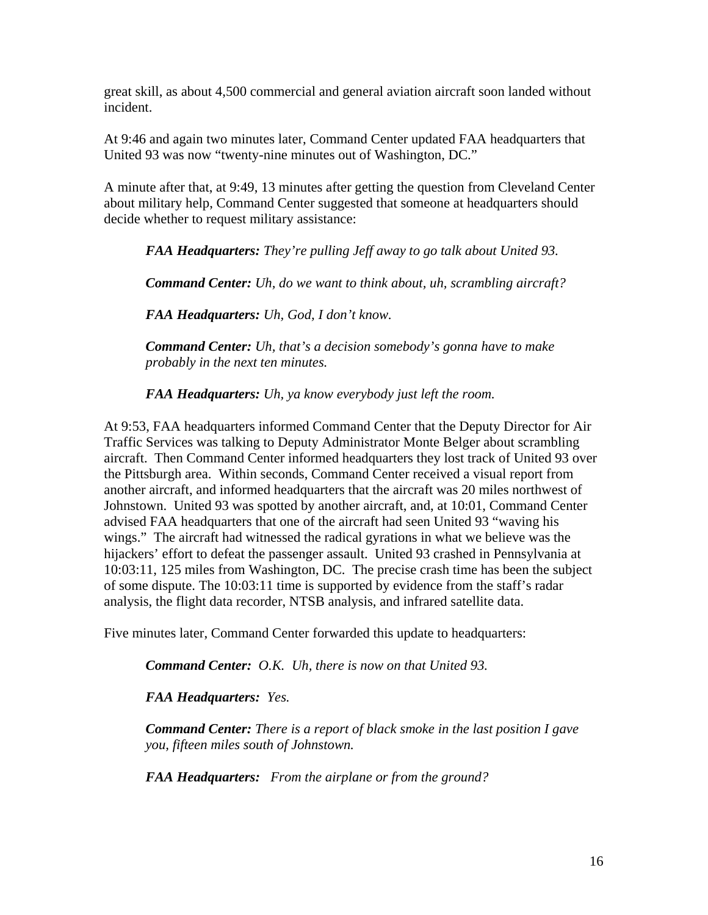great skill, as about 4,500 commercial and general aviation aircraft soon landed without incident.

At 9:46 and again two minutes later, Command Center updated FAA headquarters that United 93 was now "twenty-nine minutes out of Washington, DC."

A minute after that, at 9:49, 13 minutes after getting the question from Cleveland Center about military help, Command Center suggested that someone at headquarters should decide whether to request military assistance:

*FAA Headquarters: They're pulling Jeff away to go talk about United 93.* 

*Command Center: Uh, do we want to think about, uh, scrambling aircraft?* 

*FAA Headquarters: Uh, God, I don't know.* 

*Command Center: Uh, that's a decision somebody's gonna have to make probably in the next ten minutes.* 

*FAA Headquarters: Uh, ya know everybody just left the room.* 

At 9:53, FAA headquarters informed Command Center that the Deputy Director for Air Traffic Services was talking to Deputy Administrator Monte Belger about scrambling aircraft. Then Command Center informed headquarters they lost track of United 93 over the Pittsburgh area. Within seconds, Command Center received a visual report from another aircraft, and informed headquarters that the aircraft was 20 miles northwest of Johnstown.United 93 was spotted by another aircraft, and, at 10:01, Command Center advised FAA headquarters that one of the aircraft had seen United 93 "waving his wings." The aircraft had witnessed the radical gyrations in what we believe was the hijackers' effort to defeat the passenger assault. United 93 crashed in Pennsylvania at 10:03:11, 125 miles from Washington, DC. The precise crash time has been the subject of some dispute. The 10:03:11 time is supported by evidence from the staff's radar analysis, the flight data recorder, NTSB analysis, and infrared satellite data.

Five minutes later, Command Center forwarded this update to headquarters:

*Command Center: O.K. Uh, there is now on that United 93.* 

*FAA Headquarters: Yes.* 

*Command Center: There is a report of black smoke in the last position I gave you, fifteen miles south of Johnstown.* 

*FAA Headquarters: From the airplane or from the ground?*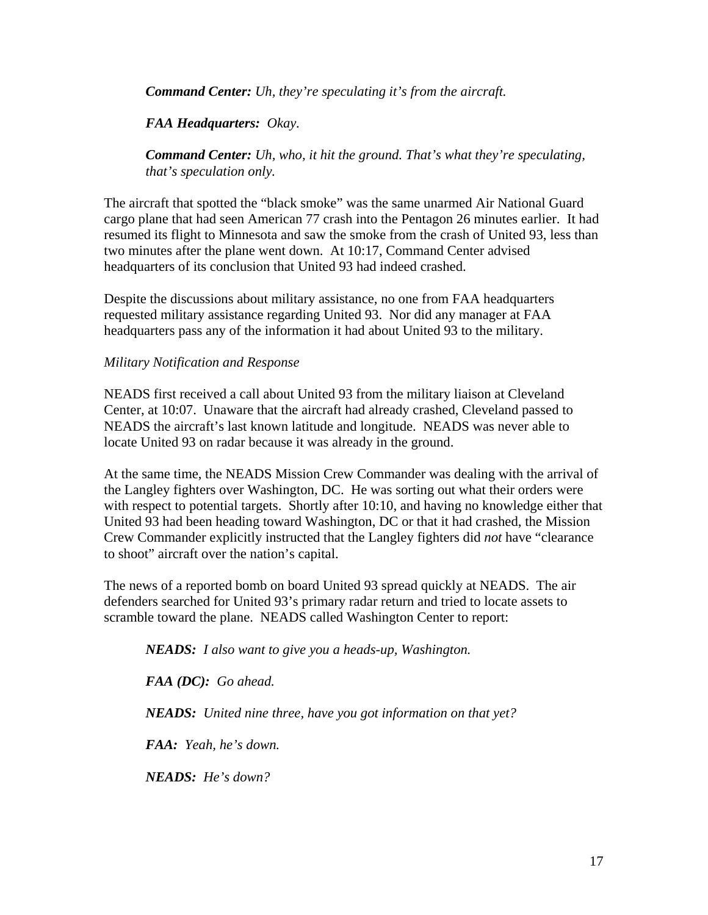*Command Center: Uh, they're speculating it's from the aircraft.* 

*FAA Headquarters: Okay.* 

*Command Center: Uh, who, it hit the ground. That's what they're speculating, that's speculation only.* 

The aircraft that spotted the "black smoke" was the same unarmed Air National Guard cargo plane that had seen American 77 crash into the Pentagon 26 minutes earlier. It had resumed its flight to Minnesota and saw the smoke from the crash of United 93, less than two minutes after the plane went down. At 10:17, Command Center advised headquarters of its conclusion that United 93 had indeed crashed.

Despite the discussions about military assistance, no one from FAA headquarters requested military assistance regarding United 93. Nor did any manager at FAA headquarters pass any of the information it had about United 93 to the military.

## *Military Notification and Response*

NEADS first received a call about United 93 from the military liaison at Cleveland Center, at 10:07. Unaware that the aircraft had already crashed, Cleveland passed to NEADS the aircraft's last known latitude and longitude. NEADS was never able to locate United 93 on radar because it was already in the ground.

At the same time, the NEADS Mission Crew Commander was dealing with the arrival of the Langley fighters over Washington, DC. He was sorting out what their orders were with respect to potential targets. Shortly after 10:10, and having no knowledge either that United 93 had been heading toward Washington, DC or that it had crashed, the Mission Crew Commander explicitly instructed that the Langley fighters did *not* have "clearance to shoot" aircraft over the nation's capital.

The news of a reported bomb on board United 93 spread quickly at NEADS. The air defenders searched for United 93's primary radar return and tried to locate assets to scramble toward the plane. NEADS called Washington Center to report:

*NEADS: I also want to give you a heads-up, Washington.* 

*FAA (DC): Go ahead.* 

*NEADS: United nine three, have you got information on that yet?* 

*FAA: Yeah, he's down.* 

*NEADS: He's down?*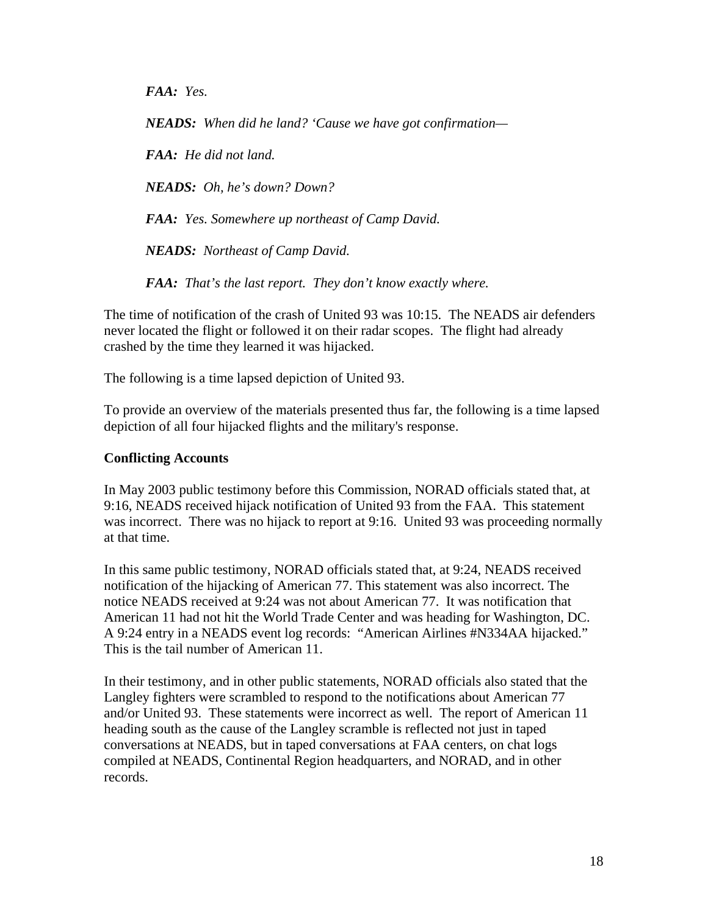*FAA: Yes.* 

*NEADS: When did he land? 'Cause we have got confirmation— FAA: He did not land. NEADS: Oh, he's down? Down? FAA: Yes. Somewhere up northeast of Camp David. NEADS: Northeast of Camp David. FAA: That's the last report. They don't know exactly where.* 

The time of notification of the crash of United 93 was 10:15. The NEADS air defenders never located the flight or followed it on their radar scopes. The flight had already crashed by the time they learned it was hijacked.

The following is a time lapsed depiction of United 93.

To provide an overview of the materials presented thus far, the following is a time lapsed depiction of all four hijacked flights and the military's response.

## **Conflicting Accounts**

In May 2003 public testimony before this Commission, NORAD officials stated that, at 9:16, NEADS received hijack notification of United 93 from the FAA. This statement was incorrect. There was no hijack to report at 9:16. United 93 was proceeding normally at that time.

In this same public testimony, NORAD officials stated that, at 9:24, NEADS received notification of the hijacking of American 77. This statement was also incorrect. The notice NEADS received at 9:24 was not about American 77. It was notification that American 11 had not hit the World Trade Center and was heading for Washington, DC. A 9:24 entry in a NEADS event log records: "American Airlines #N334AA hijacked." This is the tail number of American 11.

In their testimony, and in other public statements, NORAD officials also stated that the Langley fighters were scrambled to respond to the notifications about American 77 and/or United 93. These statements were incorrect as well. The report of American 11 heading south as the cause of the Langley scramble is reflected not just in taped conversations at NEADS, but in taped conversations at FAA centers, on chat logs compiled at NEADS, Continental Region headquarters, and NORAD, and in other records.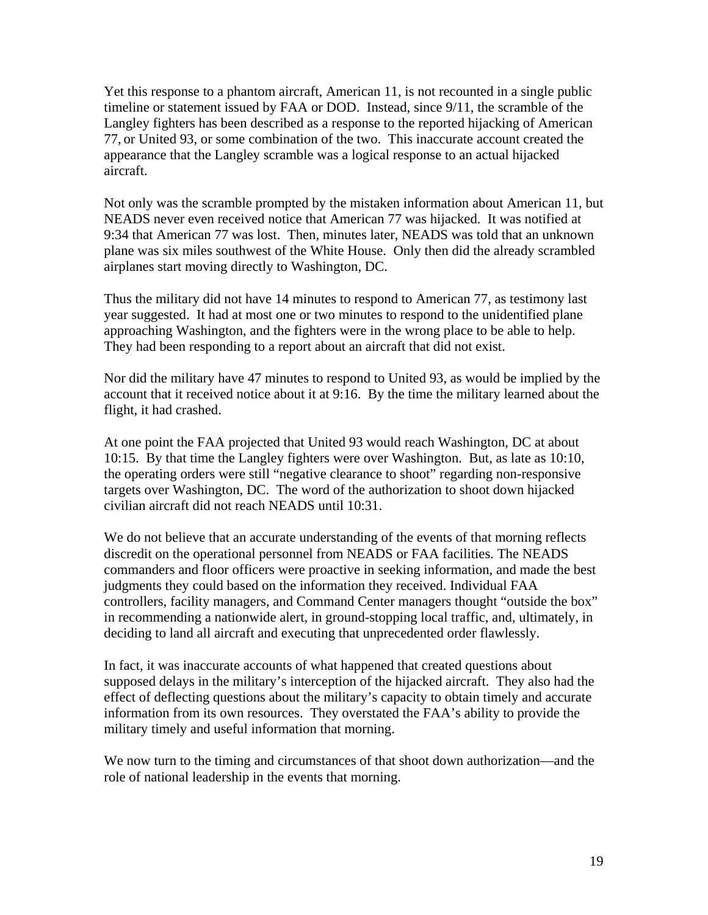Yet this response to a phantom aircraft, American 11, is not recounted in a single public timeline or statement issued by FAA or DOD. Instead, since 9/11, the scramble of the Langley fighters has been described as a response to the reported hijacking of American 77, or United 93, or some combination of the two. This inaccurate account created the appearance that the Langley scramble was a logical response to an actual hijacked aircraft.

Not only was the scramble prompted by the mistaken information about American 11, but NEADS never even received notice that American 77 was hijacked. It was notified at 9:34 that American 77 was lost. Then, minutes later, NEADS was told that an unknown plane was six miles southwest of the White House. Only then did the already scrambled airplanes start moving directly to Washington, DC.

Thus the military did not have 14 minutes to respond to American 77, as testimony last year suggested. It had at most one or two minutes to respond to the unidentified plane approaching Washington, and the fighters were in the wrong place to be able to help. They had been responding to a report about an aircraft that did not exist.

Nor did the military have 47 minutes to respond to United 93, as would be implied by the account that it received notice about it at 9:16. By the time the military learned about the flight, it had crashed.

At one point the FAA projected that United 93 would reach Washington, DC at about 10:15. By that time the Langley fighters were over Washington. But, as late as 10:10, the operating orders were still "negative clearance to shoot" regarding non-responsive targets over Washington, DC. The word of the authorization to shoot down hijacked civilian aircraft did not reach NEADS until 10:31.

We do not believe that an accurate understanding of the events of that morning reflects discredit on the operational personnel from NEADS or FAA facilities. The NEADS commanders and floor officers were proactive in seeking information, and made the best judgments they could based on the information they received. Individual FAA controllers, facility managers, and Command Center managers thought "outside the box" in recommending a nationwide alert, in ground-stopping local traffic, and, ultimately, in deciding to land all aircraft and executing that unprecedented order flawlessly.

In fact, it was inaccurate accounts of what happened that created questions about supposed delays in the military's interception of the hijacked aircraft. They also had the effect of deflecting questions about the military's capacity to obtain timely and accurate information from its own resources. They overstated the FAA's ability to provide the military timely and useful information that morning.

We now turn to the timing and circumstances of that shoot down authorization—and the role of national leadership in the events that morning.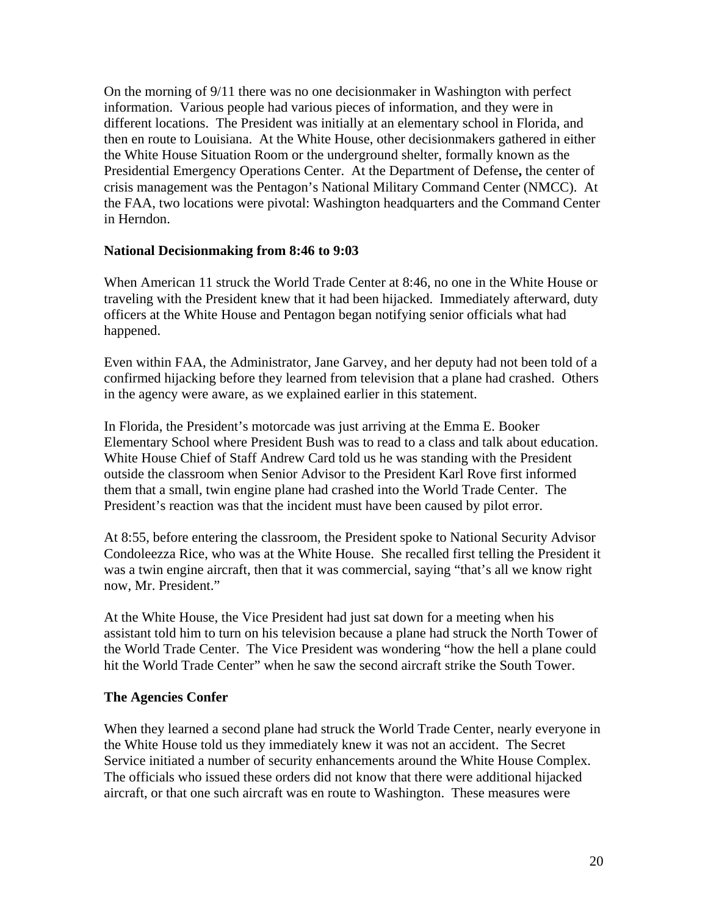On the morning of 9/11 there was no one decisionmaker in Washington with perfect information. Various people had various pieces of information, and they were in different locations. The President was initially at an elementary school in Florida, and then en route to Louisiana. At the White House, other decisionmakers gathered in either the White House Situation Room or the underground shelter, formally known as the Presidential Emergency Operations Center. At the Department of Defense**,** the center of crisis management was the Pentagon's National Military Command Center (NMCC). At the FAA, two locations were pivotal: Washington headquarters and the Command Center in Herndon.

### **National Decisionmaking from 8:46 to 9:03**

When American 11 struck the World Trade Center at 8:46, no one in the White House or traveling with the President knew that it had been hijacked. Immediately afterward, duty officers at the White House and Pentagon began notifying senior officials what had happened.

Even within FAA, the Administrator, Jane Garvey, and her deputy had not been told of a confirmed hijacking before they learned from television that a plane had crashed. Others in the agency were aware, as we explained earlier in this statement.

In Florida, the President's motorcade was just arriving at the Emma E. Booker Elementary School where President Bush was to read to a class and talk about education. White House Chief of Staff Andrew Card told us he was standing with the President outside the classroom when Senior Advisor to the President Karl Rove first informed them that a small, twin engine plane had crashed into the World Trade Center. The President's reaction was that the incident must have been caused by pilot error.

At 8:55, before entering the classroom, the President spoke to National Security Advisor Condoleezza Rice, who was at the White House. She recalled first telling the President it was a twin engine aircraft, then that it was commercial, saying "that's all we know right now, Mr. President."

At the White House, the Vice President had just sat down for a meeting when his assistant told him to turn on his television because a plane had struck the North Tower of the World Trade Center. The Vice President was wondering "how the hell a plane could hit the World Trade Center" when he saw the second aircraft strike the South Tower.

### **The Agencies Confer**

When they learned a second plane had struck the World Trade Center, nearly everyone in the White House told us they immediately knew it was not an accident. The Secret Service initiated a number of security enhancements around the White House Complex. The officials who issued these orders did not know that there were additional hijacked aircraft, or that one such aircraft was en route to Washington. These measures were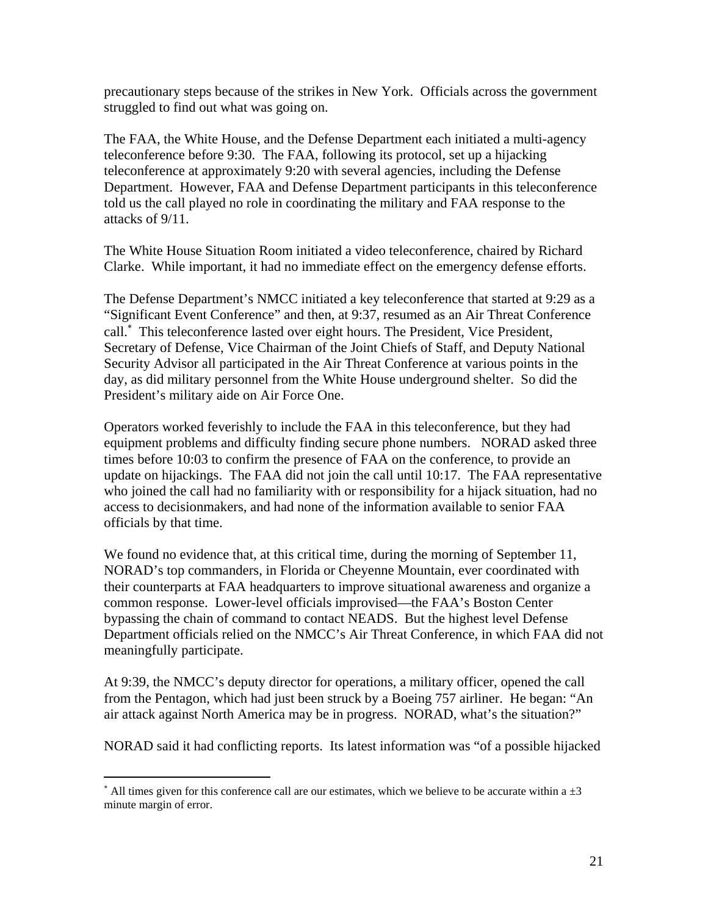precautionary steps because of the strikes in New York. Officials across the government struggled to find out what was going on.

The FAA, the White House, and the Defense Department each initiated a multi-agency teleconference before 9:30. The FAA, following its protocol, set up a hijacking teleconference at approximately 9:20 with several agencies, including the Defense Department. However, FAA and Defense Department participants in this teleconference told us the call played no role in coordinating the military and FAA response to the attacks of 9/11.

The White House Situation Room initiated a video teleconference, chaired by Richard Clarke. While important, it had no immediate effect on the emergency defense efforts.

The Defense Department's NMCC initiated a key teleconference that started at 9:29 as a "Significant Event Conference" and then, at 9:37, resumed as an Air Threat Conference call.<sup>\*</sup> This teleconference lasted over eight hours. The President, Vice President, Secretary of Defense, Vice Chairman of the Joint Chiefs of Staff, and Deputy National Security Advisor all participated in the Air Threat Conference at various points in the day, as did military personnel from the White House underground shelter. So did the President's military aide on Air Force One.

Operators worked feverishly to include the FAA in this teleconference, but they had equipment problems and difficulty finding secure phone numbers. NORAD asked three times before 10:03 to confirm the presence of FAA on the conference, to provide an update on hijackings. The FAA did not join the call until 10:17. The FAA representative who joined the call had no familiarity with or responsibility for a hijack situation, had no access to decisionmakers, and had none of the information available to senior FAA officials by that time.

We found no evidence that, at this critical time, during the morning of September 11, NORAD's top commanders, in Florida or Cheyenne Mountain, ever coordinated with their counterparts at FAA headquarters to improve situational awareness and organize a common response. Lower-level officials improvised—the FAA's Boston Center bypassing the chain of command to contact NEADS. But the highest level Defense Department officials relied on the NMCC's Air Threat Conference, in which FAA did not meaningfully participate.

At 9:39, the NMCC's deputy director for operations, a military officer, opened the call from the Pentagon, which had just been struck by a Boeing 757 airliner. He began: "An air attack against North America may be in progress. NORAD, what's the situation?"

NORAD said it had conflicting reports. Its latest information was "of a possible hijacked

 $\overline{a}$ 

<span id="page-20-0"></span><sup>\*</sup> All times given for this conference call are our estimates, which we believe to be accurate within a  $\pm 3$ minute margin of error.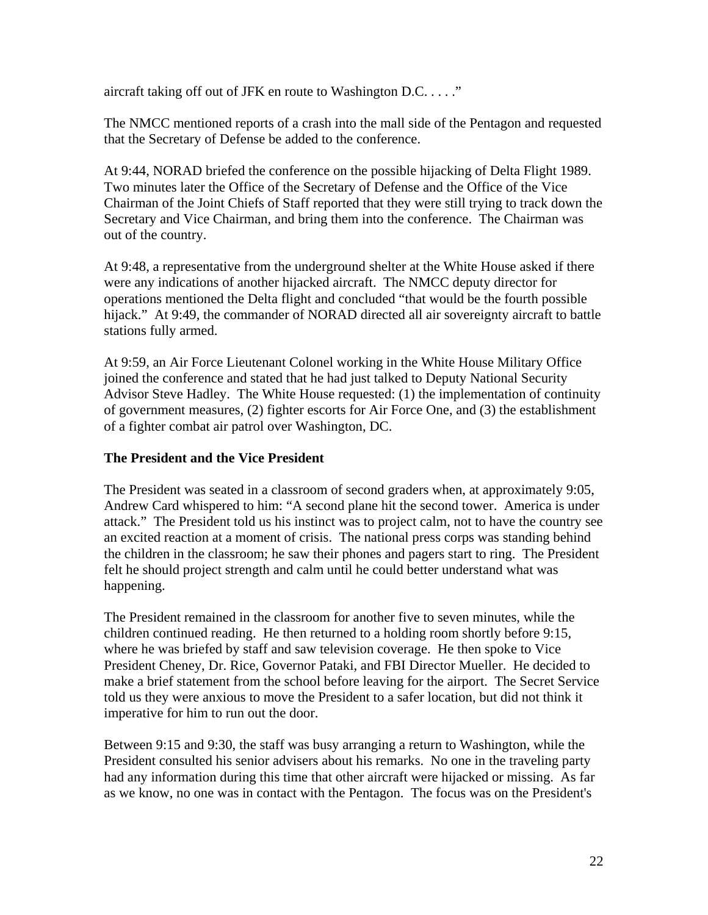aircraft taking off out of JFK en route to Washington D.C. . . . ."

The NMCC mentioned reports of a crash into the mall side of the Pentagon and requested that the Secretary of Defense be added to the conference.

At 9:44, NORAD briefed the conference on the possible hijacking of Delta Flight 1989. Two minutes later the Office of the Secretary of Defense and the Office of the Vice Chairman of the Joint Chiefs of Staff reported that they were still trying to track down the Secretary and Vice Chairman, and bring them into the conference. The Chairman was out of the country.

At 9:48, a representative from the underground shelter at the White House asked if there were any indications of another hijacked aircraft. The NMCC deputy director for operations mentioned the Delta flight and concluded "that would be the fourth possible hijack." At 9:49, the commander of NORAD directed all air sovereignty aircraft to battle stations fully armed.

At 9:59, an Air Force Lieutenant Colonel working in the White House Military Office joined the conference and stated that he had just talked to Deputy National Security Advisor Steve Hadley. The White House requested: (1) the implementation of continuity of government measures, (2) fighter escorts for Air Force One, and (3) the establishment of a fighter combat air patrol over Washington, DC.

## **The President and the Vice President**

The President was seated in a classroom of second graders when, at approximately 9:05, Andrew Card whispered to him: "A second plane hit the second tower. America is under attack." The President told us his instinct was to project calm, not to have the country see an excited reaction at a moment of crisis. The national press corps was standing behind the children in the classroom; he saw their phones and pagers start to ring. The President felt he should project strength and calm until he could better understand what was happening.

The President remained in the classroom for another five to seven minutes, while the children continued reading. He then returned to a holding room shortly before 9:15, where he was briefed by staff and saw television coverage. He then spoke to Vice President Cheney, Dr. Rice, Governor Pataki, and FBI Director Mueller. He decided to make a brief statement from the school before leaving for the airport. The Secret Service told us they were anxious to move the President to a safer location, but did not think it imperative for him to run out the door.

Between 9:15 and 9:30, the staff was busy arranging a return to Washington, while the President consulted his senior advisers about his remarks. No one in the traveling party had any information during this time that other aircraft were hijacked or missing. As far as we know, no one was in contact with the Pentagon. The focus was on the President's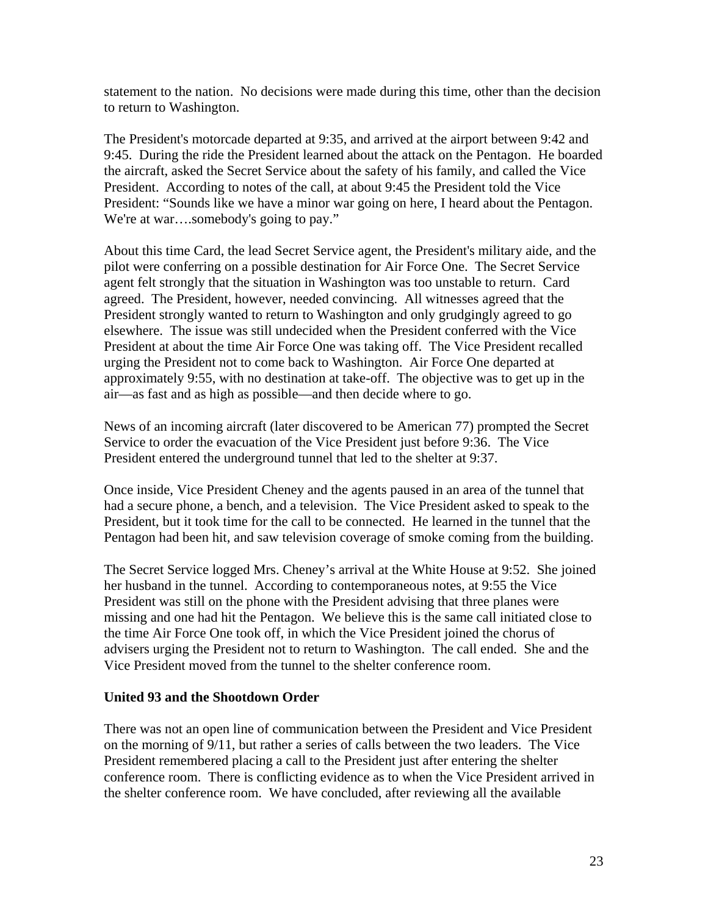statement to the nation. No decisions were made during this time, other than the decision to return to Washington.

The President's motorcade departed at 9:35, and arrived at the airport between 9:42 and 9:45. During the ride the President learned about the attack on the Pentagon. He boarded the aircraft, asked the Secret Service about the safety of his family, and called the Vice President. According to notes of the call, at about 9:45 the President told the Vice President: "Sounds like we have a minor war going on here, I heard about the Pentagon. We're at war....somebody's going to pay."

About this time Card, the lead Secret Service agent, the President's military aide, and the pilot were conferring on a possible destination for Air Force One. The Secret Service agent felt strongly that the situation in Washington was too unstable to return. Card agreed. The President, however, needed convincing. All witnesses agreed that the President strongly wanted to return to Washington and only grudgingly agreed to go elsewhere. The issue was still undecided when the President conferred with the Vice President at about the time Air Force One was taking off. The Vice President recalled urging the President not to come back to Washington. Air Force One departed at approximately 9:55, with no destination at take-off. The objective was to get up in the air—as fast and as high as possible—and then decide where to go.

News of an incoming aircraft (later discovered to be American 77) prompted the Secret Service to order the evacuation of the Vice President just before 9:36. The Vice President entered the underground tunnel that led to the shelter at 9:37.

Once inside, Vice President Cheney and the agents paused in an area of the tunnel that had a secure phone, a bench, and a television. The Vice President asked to speak to the President, but it took time for the call to be connected. He learned in the tunnel that the Pentagon had been hit, and saw television coverage of smoke coming from the building.

The Secret Service logged Mrs. Cheney's arrival at the White House at 9:52. She joined her husband in the tunnel. According to contemporaneous notes, at 9:55 the Vice President was still on the phone with the President advising that three planes were missing and one had hit the Pentagon. We believe this is the same call initiated close to the time Air Force One took off, in which the Vice President joined the chorus of advisers urging the President not to return to Washington. The call ended. She and the Vice President moved from the tunnel to the shelter conference room.

### **United 93 and the Shootdown Order**

There was not an open line of communication between the President and Vice President on the morning of 9/11, but rather a series of calls between the two leaders. The Vice President remembered placing a call to the President just after entering the shelter conference room. There is conflicting evidence as to when the Vice President arrived in the shelter conference room. We have concluded, after reviewing all the available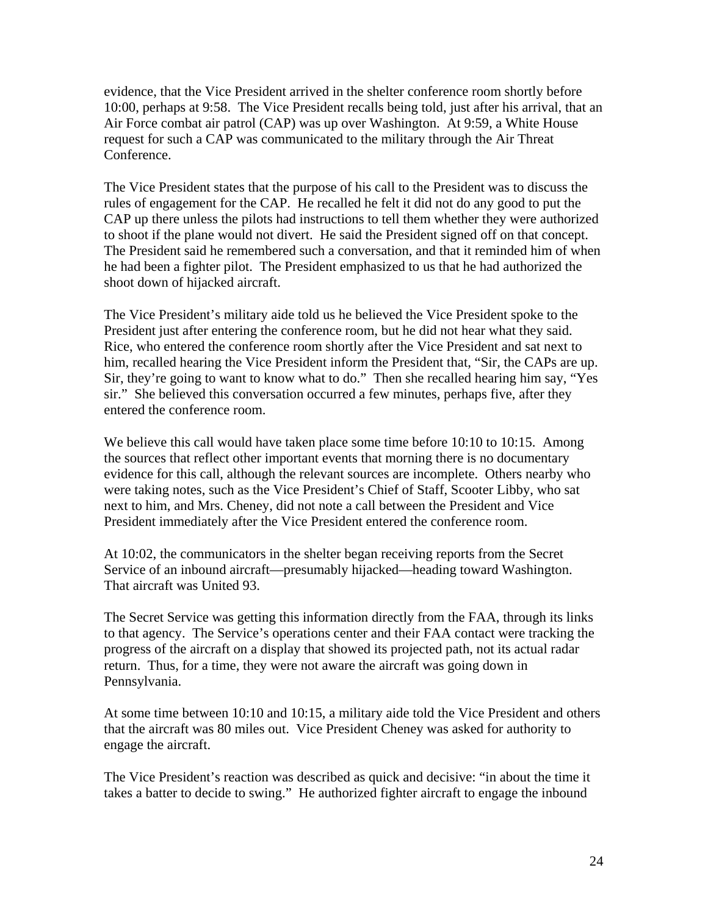evidence, that the Vice President arrived in the shelter conference room shortly before 10:00, perhaps at 9:58. The Vice President recalls being told, just after his arrival, that an Air Force combat air patrol (CAP) was up over Washington. At 9:59, a White House request for such a CAP was communicated to the military through the Air Threat Conference.

The Vice President states that the purpose of his call to the President was to discuss the rules of engagement for the CAP. He recalled he felt it did not do any good to put the CAP up there unless the pilots had instructions to tell them whether they were authorized to shoot if the plane would not divert. He said the President signed off on that concept. The President said he remembered such a conversation, and that it reminded him of when he had been a fighter pilot. The President emphasized to us that he had authorized the shoot down of hijacked aircraft.

The Vice President's military aide told us he believed the Vice President spoke to the President just after entering the conference room, but he did not hear what they said. Rice, who entered the conference room shortly after the Vice President and sat next to him, recalled hearing the Vice President inform the President that, "Sir, the CAPs are up. Sir, they're going to want to know what to do." Then she recalled hearing him say, "Yes sir." She believed this conversation occurred a few minutes, perhaps five, after they entered the conference room.

We believe this call would have taken place some time before 10:10 to 10:15. Among the sources that reflect other important events that morning there is no documentary evidence for this call, although the relevant sources are incomplete. Others nearby who were taking notes, such as the Vice President's Chief of Staff, Scooter Libby, who sat next to him, and Mrs. Cheney, did not note a call between the President and Vice President immediately after the Vice President entered the conference room.

At 10:02, the communicators in the shelter began receiving reports from the Secret Service of an inbound aircraft—presumably hijacked—heading toward Washington. That aircraft was United 93.

The Secret Service was getting this information directly from the FAA, through its links to that agency. The Service's operations center and their FAA contact were tracking the progress of the aircraft on a display that showed its projected path, not its actual radar return. Thus, for a time, they were not aware the aircraft was going down in Pennsylvania.

At some time between 10:10 and 10:15, a military aide told the Vice President and others that the aircraft was 80 miles out. Vice President Cheney was asked for authority to engage the aircraft.

The Vice President's reaction was described as quick and decisive: "in about the time it takes a batter to decide to swing." He authorized fighter aircraft to engage the inbound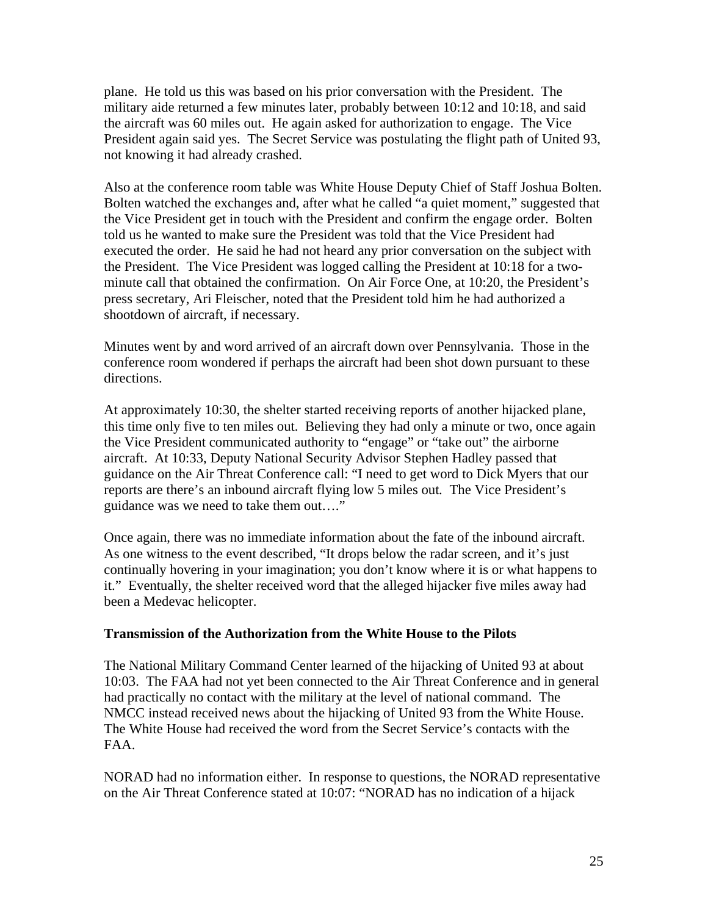plane. He told us this was based on his prior conversation with the President. The military aide returned a few minutes later, probably between 10:12 and 10:18, and said the aircraft was 60 miles out. He again asked for authorization to engage. The Vice President again said yes. The Secret Service was postulating the flight path of United 93, not knowing it had already crashed.

Also at the conference room table was White House Deputy Chief of Staff Joshua Bolten. Bolten watched the exchanges and, after what he called "a quiet moment," suggested that the Vice President get in touch with the President and confirm the engage order. Bolten told us he wanted to make sure the President was told that the Vice President had executed the order. He said he had not heard any prior conversation on the subject with the President. The Vice President was logged calling the President at 10:18 for a twominute call that obtained the confirmation. On Air Force One, at 10:20, the President's press secretary, Ari Fleischer, noted that the President told him he had authorized a shootdown of aircraft, if necessary.

Minutes went by and word arrived of an aircraft down over Pennsylvania. Those in the conference room wondered if perhaps the aircraft had been shot down pursuant to these directions.

At approximately 10:30, the shelter started receiving reports of another hijacked plane, this time only five to ten miles out. Believing they had only a minute or two, once again the Vice President communicated authority to "engage" or "take out" the airborne aircraft. At 10:33, Deputy National Security Advisor Stephen Hadley passed that guidance on the Air Threat Conference call: "I need to get word to Dick Myers that our reports are there's an inbound aircraft flying low 5 miles out*.* The Vice President's guidance was we need to take them out…."

Once again, there was no immediate information about the fate of the inbound aircraft. As one witness to the event described, "It drops below the radar screen, and it's just continually hovering in your imagination; you don't know where it is or what happens to it." Eventually, the shelter received word that the alleged hijacker five miles away had been a Medevac helicopter.

### **Transmission of the Authorization from the White House to the Pilots**

The National Military Command Center learned of the hijacking of United 93 at about 10:03. The FAA had not yet been connected to the Air Threat Conference and in general had practically no contact with the military at the level of national command. The NMCC instead received news about the hijacking of United 93 from the White House. The White House had received the word from the Secret Service's contacts with the FAA.

NORAD had no information either. In response to questions, the NORAD representative on the Air Threat Conference stated at 10:07: "NORAD has no indication of a hijack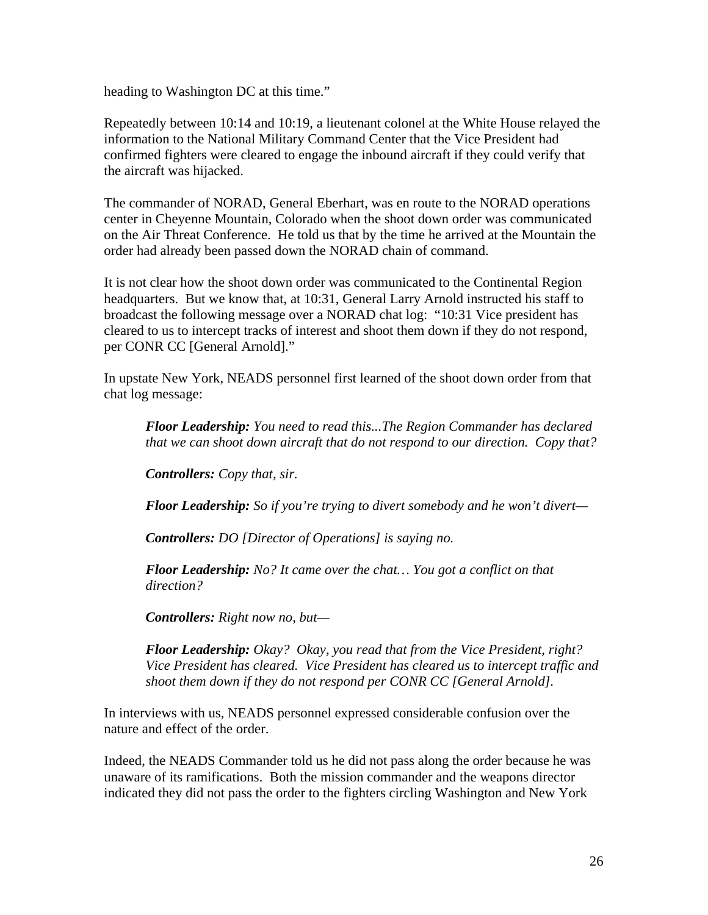heading to Washington DC at this time."

Repeatedly between 10:14 and 10:19, a lieutenant colonel at the White House relayed the information to the National Military Command Center that the Vice President had confirmed fighters were cleared to engage the inbound aircraft if they could verify that the aircraft was hijacked.

The commander of NORAD, General Eberhart, was en route to the NORAD operations center in Cheyenne Mountain, Colorado when the shoot down order was communicated on the Air Threat Conference. He told us that by the time he arrived at the Mountain the order had already been passed down the NORAD chain of command.

It is not clear how the shoot down order was communicated to the Continental Region headquarters. But we know that, at 10:31, General Larry Arnold instructed his staff to broadcast the following message over a NORAD chat log: "10:31 Vice president has cleared to us to intercept tracks of interest and shoot them down if they do not respond, per CONR CC [General Arnold]."

In upstate New York, NEADS personnel first learned of the shoot down order from that chat log message:

*Floor Leadership: You need to read this...The Region Commander has declared that we can shoot down aircraft that do not respond to our direction. Copy that?* 

*Controllers: Copy that, sir.* 

*Floor Leadership: So if you're trying to divert somebody and he won't divert—* 

 *Controllers: DO [Director of Operations] is saying no.* 

*Floor Leadership: No? It came over the chat… You got a conflict on that direction?* 

*Controllers: Right now no, but—* 

*Floor Leadership: Okay? Okay, you read that from the Vice President, right? Vice President has cleared. Vice President has cleared us to intercept traffic and shoot them down if they do not respond per CONR CC [General Arnold].*

In interviews with us, NEADS personnel expressed considerable confusion over the nature and effect of the order.

Indeed, the NEADS Commander told us he did not pass along the order because he was unaware of its ramifications. Both the mission commander and the weapons director indicated they did not pass the order to the fighters circling Washington and New York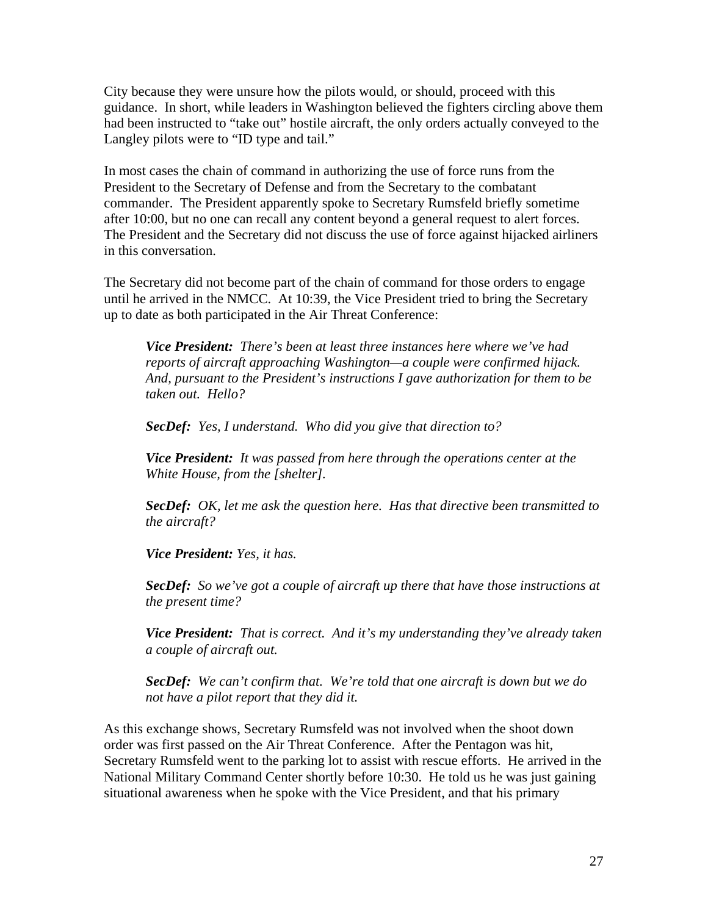City because they were unsure how the pilots would, or should, proceed with this guidance. In short, while leaders in Washington believed the fighters circling above them had been instructed to "take out" hostile aircraft, the only orders actually conveyed to the Langley pilots were to "ID type and tail."

In most cases the chain of command in authorizing the use of force runs from the President to the Secretary of Defense and from the Secretary to the combatant commander. The President apparently spoke to Secretary Rumsfeld briefly sometime after 10:00, but no one can recall any content beyond a general request to alert forces. The President and the Secretary did not discuss the use of force against hijacked airliners in this conversation.

The Secretary did not become part of the chain of command for those orders to engage until he arrived in the NMCC. At 10:39, the Vice President tried to bring the Secretary up to date as both participated in the Air Threat Conference:

*Vice President: There's been at least three instances here where we've had reports of aircraft approaching Washington—a couple were confirmed hijack. And, pursuant to the President's instructions I gave authorization for them to be taken out. Hello?* 

*SecDef: Yes, I understand. Who did you give that direction to?* 

*Vice President: It was passed from here through the operations center at the White House, from the [shelter].*

*SecDef: OK, let me ask the question here. Has that directive been transmitted to the aircraft?*

*Vice President: Yes, it has.* 

*SecDef: So we've got a couple of aircraft up there that have those instructions at the present time?* 

*Vice President: That is correct. And it's my understanding they've already taken a couple of aircraft out.* 

*SecDef: We can't confirm that. We're told that one aircraft is down but we do not have a pilot report that they did it.* 

As this exchange shows, Secretary Rumsfeld was not involved when the shoot down order was first passed on the Air Threat Conference. After the Pentagon was hit, Secretary Rumsfeld went to the parking lot to assist with rescue efforts. He arrived in the National Military Command Center shortly before 10:30. He told us he was just gaining situational awareness when he spoke with the Vice President, and that his primary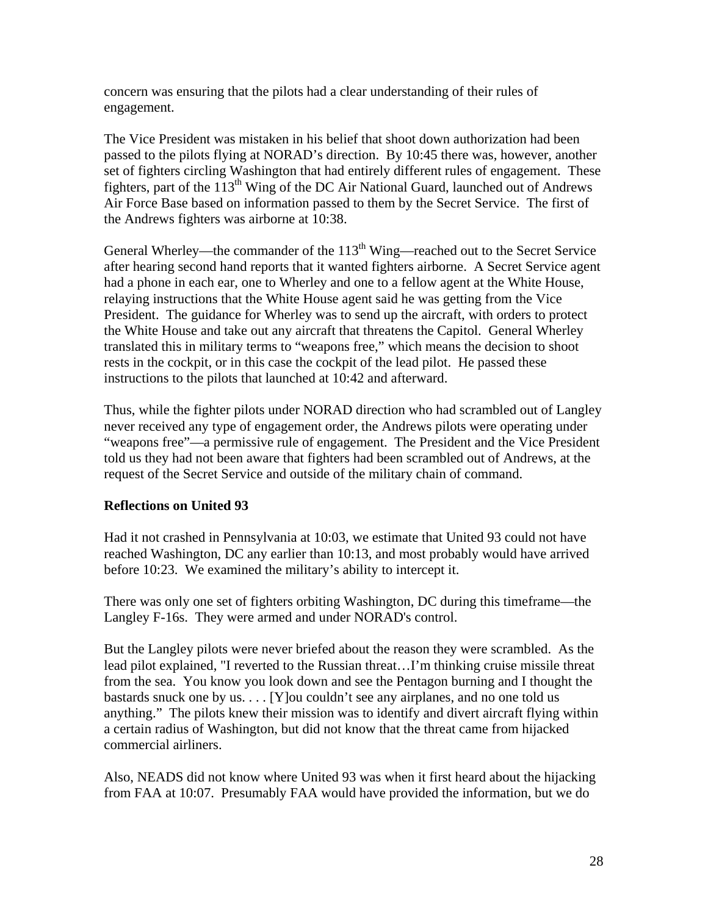concern was ensuring that the pilots had a clear understanding of their rules of engagement.

The Vice President was mistaken in his belief that shoot down authorization had been passed to the pilots flying at NORAD's direction. By 10:45 there was, however, another set of fighters circling Washington that had entirely different rules of engagement. These fighters, part of the  $113<sup>th</sup>$  Wing of the DC Air National Guard, launched out of Andrews Air Force Base based on information passed to them by the Secret Service. The first of the Andrews fighters was airborne at 10:38.

General Wherley—the commander of the  $113<sup>th</sup>$  Wing—reached out to the Secret Service after hearing second hand reports that it wanted fighters airborne. A Secret Service agent had a phone in each ear, one to Wherley and one to a fellow agent at the White House, relaying instructions that the White House agent said he was getting from the Vice President. The guidance for Wherley was to send up the aircraft, with orders to protect the White House and take out any aircraft that threatens the Capitol. General Wherley translated this in military terms to "weapons free," which means the decision to shoot rests in the cockpit, or in this case the cockpit of the lead pilot. He passed these instructions to the pilots that launched at 10:42 and afterward.

Thus, while the fighter pilots under NORAD direction who had scrambled out of Langley never received any type of engagement order, the Andrews pilots were operating under "weapons free"—a permissive rule of engagement. The President and the Vice President told us they had not been aware that fighters had been scrambled out of Andrews, at the request of the Secret Service and outside of the military chain of command.

## **Reflections on United 93**

Had it not crashed in Pennsylvania at 10:03, we estimate that United 93 could not have reached Washington, DC any earlier than 10:13, and most probably would have arrived before 10:23. We examined the military's ability to intercept it.

There was only one set of fighters orbiting Washington, DC during this timeframe—the Langley F-16s. They were armed and under NORAD's control.

But the Langley pilots were never briefed about the reason they were scrambled. As the lead pilot explained, "I reverted to the Russian threat…I'm thinking cruise missile threat from the sea. You know you look down and see the Pentagon burning and I thought the bastards snuck one by us. . . . [Y]ou couldn't see any airplanes, and no one told us anything." The pilots knew their mission was to identify and divert aircraft flying within a certain radius of Washington, but did not know that the threat came from hijacked commercial airliners.

Also, NEADS did not know where United 93 was when it first heard about the hijacking from FAA at 10:07. Presumably FAA would have provided the information, but we do